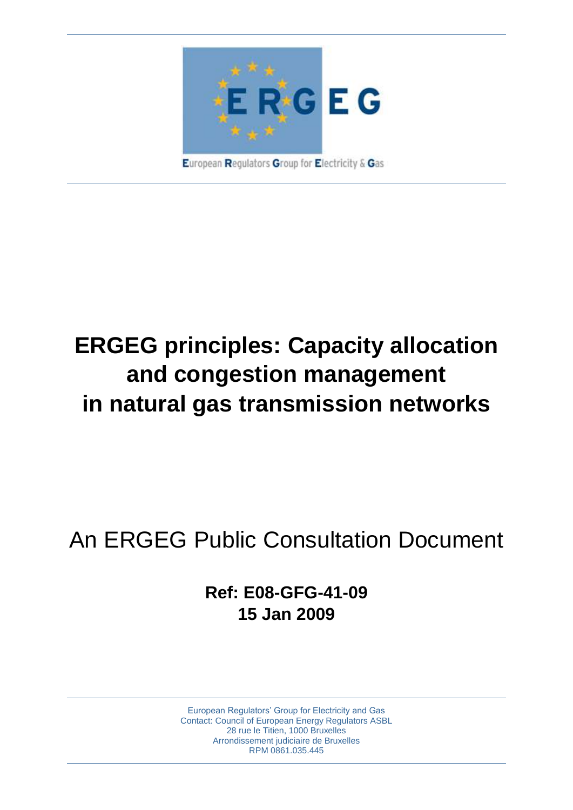

# **ERGEG principles: Capacity allocation and congestion management in natural gas transmission networks**

# An ERGEG Public Consultation Document

**Ref: E08-GFG-41-09 15 Jan 2009**

European Regulators' Group for Electricity and Gas Contact: Council of European Energy Regulators ASBL 28 rue le Titien, 1000 Bruxelles Arrondissement judiciaire de Bruxelles RPM 0861.035.445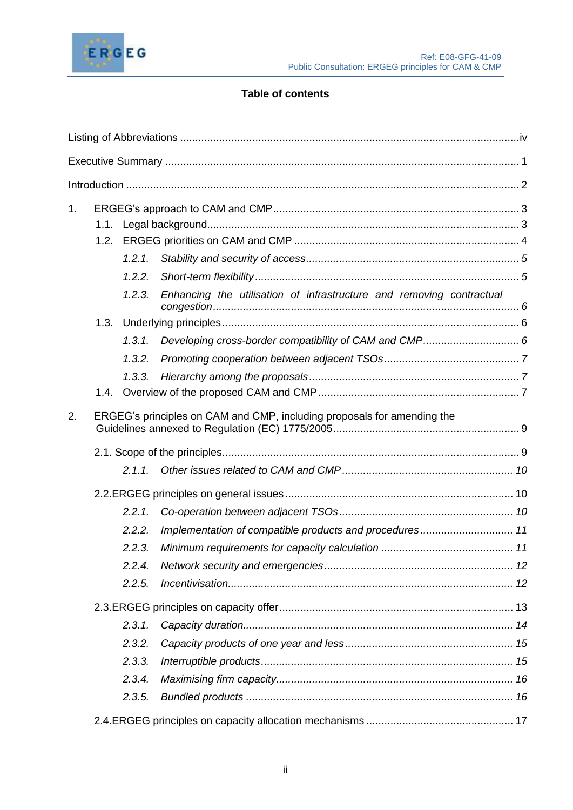

# **Table of contents**

| 1. |                                                                         |           |                                                                      |  |  |  |
|----|-------------------------------------------------------------------------|-----------|----------------------------------------------------------------------|--|--|--|
|    |                                                                         |           |                                                                      |  |  |  |
|    |                                                                         |           |                                                                      |  |  |  |
|    |                                                                         | 1.2.1.    |                                                                      |  |  |  |
|    |                                                                         | 1.2.2.    |                                                                      |  |  |  |
|    |                                                                         | 1.2.3.    | Enhancing the utilisation of infrastructure and removing contractual |  |  |  |
|    |                                                                         |           |                                                                      |  |  |  |
|    |                                                                         | 1, 3, 1,  |                                                                      |  |  |  |
|    |                                                                         | 1.3.2.    |                                                                      |  |  |  |
|    |                                                                         | 1.3.3.    |                                                                      |  |  |  |
|    |                                                                         |           |                                                                      |  |  |  |
| 2. | ERGEG's principles on CAM and CMP, including proposals for amending the |           |                                                                      |  |  |  |
|    |                                                                         |           |                                                                      |  |  |  |
|    |                                                                         | 2.1.1.    |                                                                      |  |  |  |
|    |                                                                         |           |                                                                      |  |  |  |
|    |                                                                         | 2.2.1.    |                                                                      |  |  |  |
|    |                                                                         | 2.2.2.    | Implementation of compatible products and procedures 11              |  |  |  |
|    |                                                                         | 2.2.3.    |                                                                      |  |  |  |
|    |                                                                         | 2.2.4.    |                                                                      |  |  |  |
|    |                                                                         | 2.2.5.    |                                                                      |  |  |  |
|    |                                                                         |           |                                                                      |  |  |  |
|    |                                                                         | $2.3.1$ . |                                                                      |  |  |  |
|    |                                                                         | 2.3.2.    |                                                                      |  |  |  |
|    |                                                                         | 2.3.3.    |                                                                      |  |  |  |
|    |                                                                         | 2.3.4.    |                                                                      |  |  |  |
|    |                                                                         | 2.3.5.    |                                                                      |  |  |  |
|    |                                                                         |           |                                                                      |  |  |  |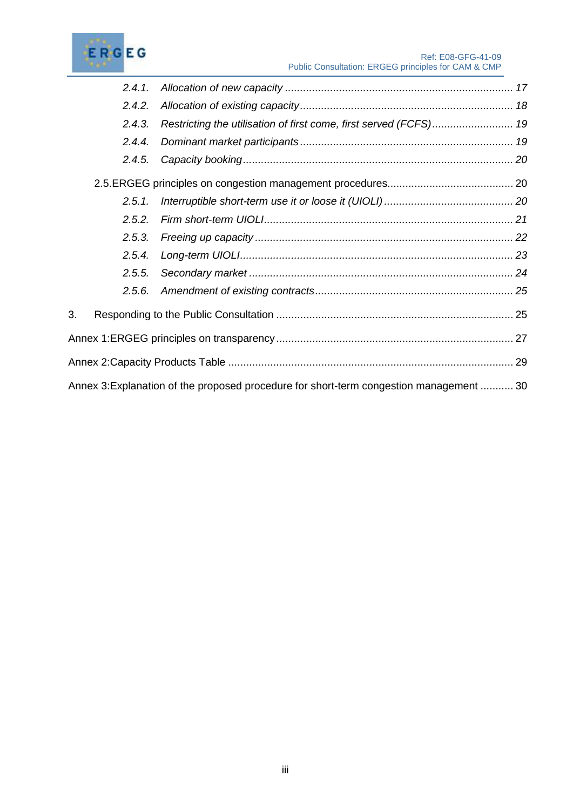

|    | 2.4.1. |                                                                                         |  |
|----|--------|-----------------------------------------------------------------------------------------|--|
|    | 2.4.2. |                                                                                         |  |
|    | 2.4.3. | Restricting the utilisation of first come, first served (FCFS) 19                       |  |
|    | 2.4.4. |                                                                                         |  |
|    | 2.4.5. |                                                                                         |  |
|    |        |                                                                                         |  |
|    | 2.5.1. |                                                                                         |  |
|    | 2.5.2. |                                                                                         |  |
|    | 2.5.3. |                                                                                         |  |
|    | 2.5.4. |                                                                                         |  |
|    | 2.5.5. |                                                                                         |  |
|    | 2.5.6. |                                                                                         |  |
| 3. |        |                                                                                         |  |
|    |        |                                                                                         |  |
|    |        |                                                                                         |  |
|    |        | Annex 3: Explanation of the proposed procedure for short-term congestion management  30 |  |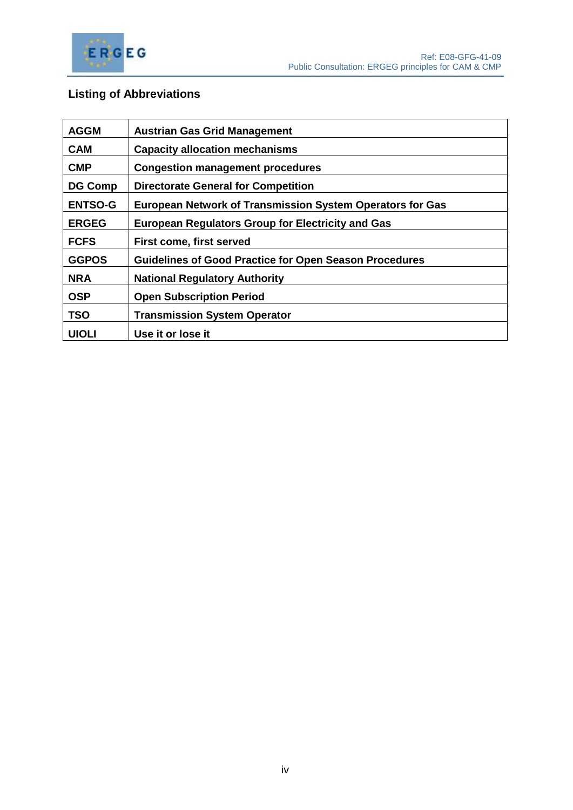

# <span id="page-3-0"></span>**Listing of Abbreviations**

| <b>AGGM</b>                                                                 | <b>Austrian Gas Grid Management</b>                           |  |
|-----------------------------------------------------------------------------|---------------------------------------------------------------|--|
| <b>CAM</b>                                                                  | <b>Capacity allocation mechanisms</b>                         |  |
| <b>CMP</b>                                                                  | <b>Congestion management procedures</b>                       |  |
| <b>DG Comp</b>                                                              | <b>Directorate General for Competition</b>                    |  |
| <b>ENTSO-G</b><br>European Network of Transmission System Operators for Gas |                                                               |  |
| <b>ERGEG</b>                                                                | <b>European Regulators Group for Electricity and Gas</b>      |  |
| <b>FCFS</b>                                                                 | <b>First come, first served</b>                               |  |
| <b>GGPOS</b>                                                                | <b>Guidelines of Good Practice for Open Season Procedures</b> |  |
| <b>NRA</b>                                                                  | <b>National Regulatory Authority</b>                          |  |
| <b>OSP</b>                                                                  | <b>Open Subscription Period</b>                               |  |
| <b>TSO</b>                                                                  | <b>Transmission System Operator</b>                           |  |
| <b>UIOLI</b>                                                                | Use it or lose it                                             |  |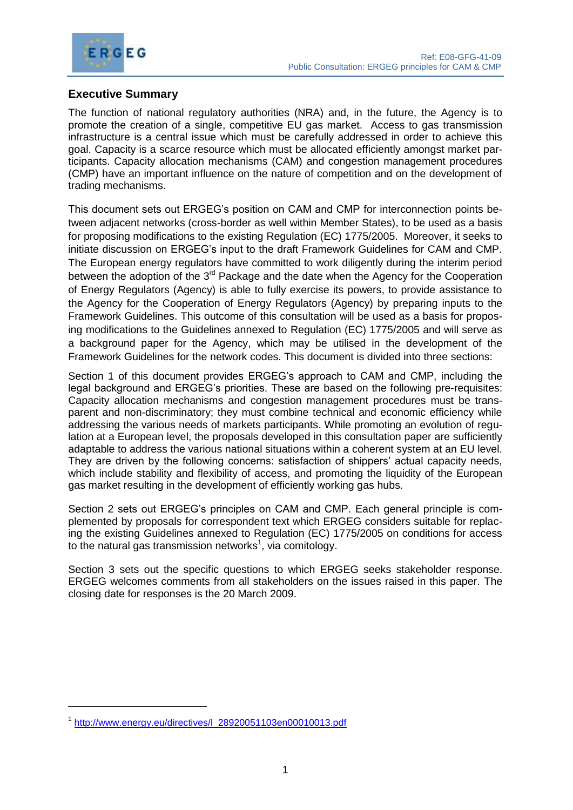

# <span id="page-4-0"></span>**Executive Summary**

The function of national regulatory authorities (NRA) and, in the future, the Agency is to promote the creation of a single, competitive EU gas market. Access to gas transmission infrastructure is a central issue which must be carefully addressed in order to achieve this goal. Capacity is a scarce resource which must be allocated efficiently amongst market participants. Capacity allocation mechanisms (CAM) and congestion management procedures (CMP) have an important influence on the nature of competition and on the development of trading mechanisms.

This document sets out ERGEG's position on CAM and CMP for interconnection points between adjacent networks (cross-border as well within Member States), to be used as a basis for proposing modifications to the existing Regulation (EC) 1775/2005. Moreover, it seeks to initiate discussion on ERGEG's input to the draft Framework Guidelines for CAM and CMP. The European energy regulators have committed to work diligently during the interim period between the adoption of the 3<sup>rd</sup> Package and the date when the Agency for the Cooperation of Energy Regulators (Agency) is able to fully exercise its powers, to provide assistance to the Agency for the Cooperation of Energy Regulators (Agency) by preparing inputs to the Framework Guidelines. This outcome of this consultation will be used as a basis for proposing modifications to the Guidelines annexed to Regulation (EC) 1775/2005 and will serve as a background paper for the Agency, which may be utilised in the development of the Framework Guidelines for the network codes. This document is divided into three sections:

Section 1 of this document provides ERGEG's approach to CAM and CMP, including the legal background and ERGEG's priorities. These are based on the following pre-requisites: Capacity allocation mechanisms and congestion management procedures must be transparent and non-discriminatory; they must combine technical and economic efficiency while addressing the various needs of markets participants. While promoting an evolution of regulation at a European level, the proposals developed in this consultation paper are sufficiently adaptable to address the various national situations within a coherent system at an EU level. They are driven by the following concerns: satisfaction of shippers' actual capacity needs, which include stability and flexibility of access, and promoting the liquidity of the European gas market resulting in the development of efficiently working gas hubs.

Section 2 sets out ERGEG's principles on CAM and CMP. Each general principle is complemented by proposals for correspondent text which ERGEG considers suitable for replacing the existing Guidelines annexed to Regulation (EC) 1775/2005 on conditions for access to the natural gas transmission networks $<sup>1</sup>$ , via comitology.</sup>

Section 3 sets out the specific questions to which ERGEG seeks stakeholder response. ERGEG welcomes comments from all stakeholders on the issues raised in this paper. The closing date for responses is the 20 March 2009.

<sup>&</sup>lt;sup>1</sup> [http://www.energy.eu/directives/l\\_28920051103en00010013.pdf](http://www.energy.eu/directives/l_28920051103en00010013.pdf)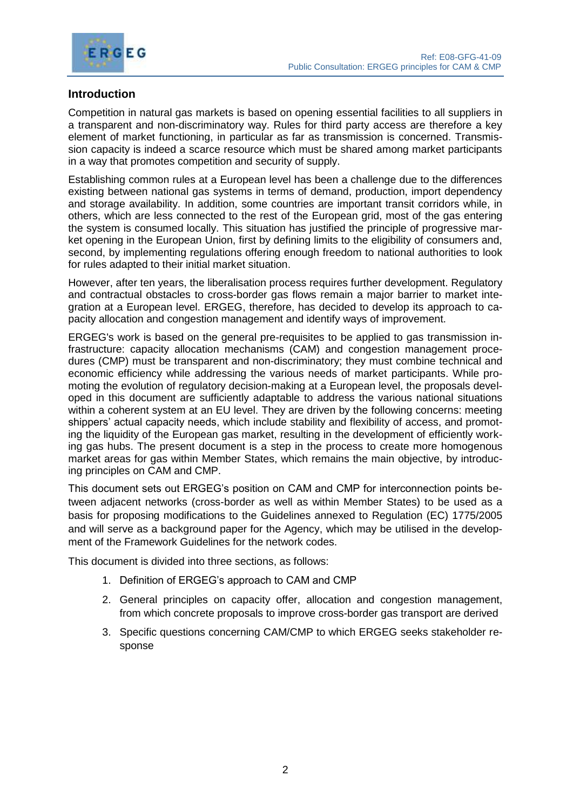

# <span id="page-5-0"></span>**Introduction**

Competition in natural gas markets is based on opening essential facilities to all suppliers in a transparent and non-discriminatory way. Rules for third party access are therefore a key element of market functioning, in particular as far as transmission is concerned. Transmission capacity is indeed a scarce resource which must be shared among market participants in a way that promotes competition and security of supply.

Establishing common rules at a European level has been a challenge due to the differences existing between national gas systems in terms of demand, production, import dependency and storage availability. In addition, some countries are important transit corridors while, in others, which are less connected to the rest of the European grid, most of the gas entering the system is consumed locally. This situation has justified the principle of progressive market opening in the European Union, first by defining limits to the eligibility of consumers and, second, by implementing regulations offering enough freedom to national authorities to look for rules adapted to their initial market situation.

However, after ten years, the liberalisation process requires further development. Regulatory and contractual obstacles to cross-border gas flows remain a major barrier to market integration at a European level. ERGEG, therefore, has decided to develop its approach to capacity allocation and congestion management and identify ways of improvement.

ERGEG's work is based on the general pre-requisites to be applied to gas transmission infrastructure: capacity allocation mechanisms (CAM) and congestion management procedures (CMP) must be transparent and non-discriminatory; they must combine technical and economic efficiency while addressing the various needs of market participants. While promoting the evolution of regulatory decision-making at a European level, the proposals developed in this document are sufficiently adaptable to address the various national situations within a coherent system at an EU level. They are driven by the following concerns: meeting shippers' actual capacity needs, which include stability and flexibility of access, and promoting the liquidity of the European gas market, resulting in the development of efficiently working gas hubs. The present document is a step in the process to create more homogenous market areas for gas within Member States, which remains the main objective, by introducing principles on CAM and CMP.

This document sets out ERGEG's position on CAM and CMP for interconnection points between adjacent networks (cross-border as well as within Member States) to be used as a basis for proposing modifications to the Guidelines annexed to Regulation (EC) 1775/2005 and will serve as a background paper for the Agency, which may be utilised in the development of the Framework Guidelines for the network codes.

This document is divided into three sections, as follows:

- 1. Definition of ERGEG's approach to CAM and CMP
- 2. General principles on capacity offer, allocation and congestion management, from which concrete proposals to improve cross-border gas transport are derived
- 3. Specific questions concerning CAM/CMP to which ERGEG seeks stakeholder response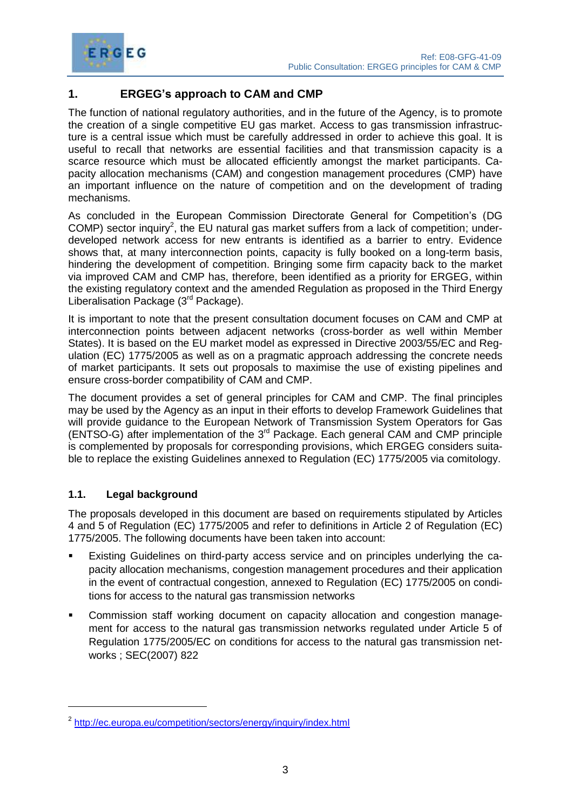

# <span id="page-6-0"></span>**1. ERGEG's approach to CAM and CMP**

The function of national regulatory authorities, and in the future of the Agency, is to promote the creation of a single competitive EU gas market. Access to gas transmission infrastructure is a central issue which must be carefully addressed in order to achieve this goal. It is useful to recall that networks are essential facilities and that transmission capacity is a scarce resource which must be allocated efficiently amongst the market participants. Capacity allocation mechanisms (CAM) and congestion management procedures (CMP) have an important influence on the nature of competition and on the development of trading mechanisms.

As concluded in the European Commission Directorate General for Competition's (DG COMP) sector inquiry<sup>2</sup>, the EU natural gas market suffers from a lack of competition; underdeveloped network access for new entrants is identified as a barrier to entry. Evidence shows that, at many interconnection points, capacity is fully booked on a long-term basis, hindering the development of competition. Bringing some firm capacity back to the market via improved CAM and CMP has, therefore, been identified as a priority for ERGEG, within the existing regulatory context and the amended Regulation as proposed in the Third Energy Liberalisation Package (3rd Package).

It is important to note that the present consultation document focuses on CAM and CMP at interconnection points between adjacent networks (cross-border as well within Member States). It is based on the EU market model as expressed in Directive 2003/55/EC and Regulation (EC) 1775/2005 as well as on a pragmatic approach addressing the concrete needs of market participants. It sets out proposals to maximise the use of existing pipelines and ensure cross-border compatibility of CAM and CMP.

The document provides a set of general principles for CAM and CMP. The final principles may be used by the Agency as an input in their efforts to develop Framework Guidelines that will provide guidance to the European Network of Transmission System Operators for Gas  $(ENTSO-G)$  after implementation of the  $3<sup>rd</sup>$  Package. Each general CAM and CMP principle is complemented by proposals for corresponding provisions, which ERGEG considers suitable to replace the existing Guidelines annexed to Regulation (EC) 1775/2005 via comitology.

# <span id="page-6-1"></span>**1.1. Legal background**

The proposals developed in this document are based on requirements stipulated by Articles 4 and 5 of Regulation (EC) 1775/2005 and refer to definitions in Article 2 of Regulation (EC) 1775/2005. The following documents have been taken into account:

- Existing Guidelines on third-party access service and on principles underlying the capacity allocation mechanisms, congestion management procedures and their application in the event of contractual congestion, annexed to Regulation (EC) 1775/2005 on conditions for access to the natural gas transmission networks
- Commission staff working document on capacity allocation and congestion management for access to the natural gas transmission networks regulated under Article 5 of Regulation 1775/2005/EC on conditions for access to the natural gas transmission networks ; SEC(2007) 822

<sup>&</sup>lt;sup>2</sup> <http://ec.europa.eu/competition/sectors/energy/inquiry/index.html>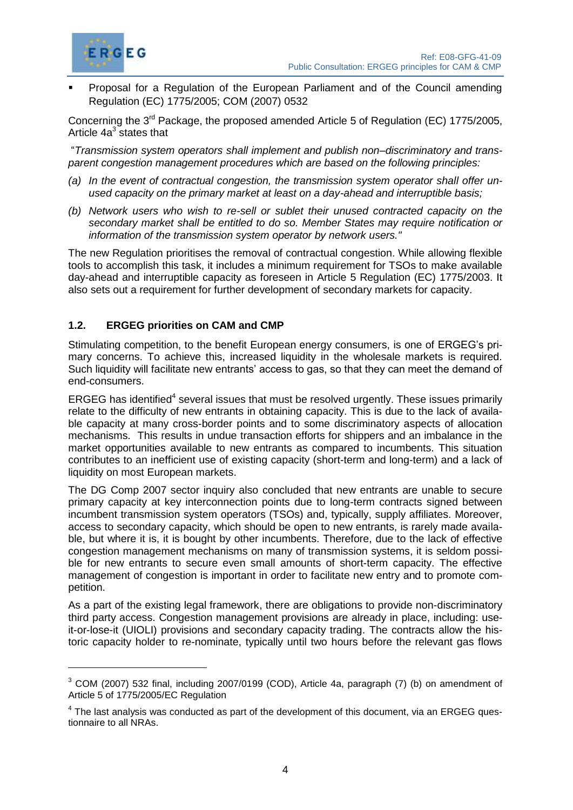

 Proposal for a Regulation of the European Parliament and of the Council amending Regulation (EC) 1775/2005; COM (2007) 0532

Concerning the 3<sup>rd</sup> Package, the proposed amended Article 5 of Regulation (EC) 1775/2005, Article 4a<sup>3</sup> states that

"*Transmission system operators shall implement and publish non–discriminatory and transparent congestion management procedures which are based on the following principles:*

- *(a) In the event of contractual congestion, the transmission system operator shall offer unused capacity on the primary market at least on a day-ahead and interruptible basis;*
- *(b) Network users who wish to re-sell or sublet their unused contracted capacity on the secondary market shall be entitled to do so. Member States may require notification or information of the transmission system operator by network users."*

The new Regulation prioritises the removal of contractual congestion. While allowing flexible tools to accomplish this task, it includes a minimum requirement for TSOs to make available day-ahead and interruptible capacity as foreseen in Article 5 Regulation (EC) 1775/2003. It also sets out a requirement for further development of secondary markets for capacity.

# <span id="page-7-0"></span>**1.2. ERGEG priorities on CAM and CMP**

Stimulating competition, to the benefit European energy consumers, is one of ERGEG's primary concerns. To achieve this, increased liquidity in the wholesale markets is required. Such liquidity will facilitate new entrants' access to gas, so that they can meet the demand of end-consumers.

ERGEG has identified<sup>4</sup> several issues that must be resolved urgently. These issues primarily relate to the difficulty of new entrants in obtaining capacity. This is due to the lack of available capacity at many cross-border points and to some discriminatory aspects of allocation mechanisms. This results in undue transaction efforts for shippers and an imbalance in the market opportunities available to new entrants as compared to incumbents. This situation contributes to an inefficient use of existing capacity (short-term and long-term) and a lack of liquidity on most European markets.

The DG Comp 2007 sector inquiry also concluded that new entrants are unable to secure primary capacity at key interconnection points due to long-term contracts signed between incumbent transmission system operators (TSOs) and, typically, supply affiliates. Moreover, access to secondary capacity, which should be open to new entrants, is rarely made available, but where it is, it is bought by other incumbents. Therefore, due to the lack of effective congestion management mechanisms on many of transmission systems, it is seldom possible for new entrants to secure even small amounts of short-term capacity. The effective management of congestion is important in order to facilitate new entry and to promote competition.

As a part of the existing legal framework, there are obligations to provide non-discriminatory third party access. Congestion management provisions are already in place, including: useit-or-lose-it (UIOLI) provisions and secondary capacity trading. The contracts allow the historic capacity holder to re-nominate, typically until two hours before the relevant gas flows

<sup>3</sup> COM (2007) 532 final, including 2007/0199 (COD), Article 4a, paragraph (7) (b) on amendment of Article 5 of 1775/2005/EC Regulation

 $<sup>4</sup>$  The last analysis was conducted as part of the development of this document, via an ERGEG ques-</sup> tionnaire to all NRAs.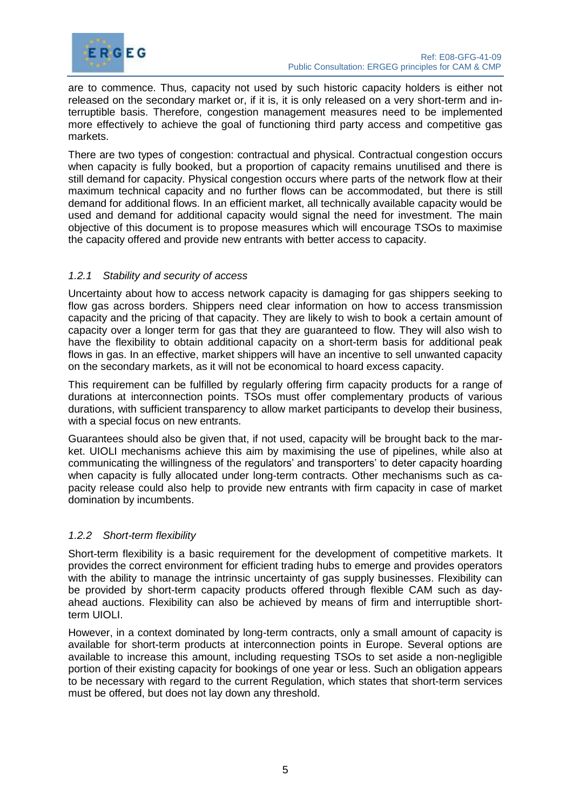

are to commence. Thus, capacity not used by such historic capacity holders is either not released on the secondary market or, if it is, it is only released on a very short-term and interruptible basis. Therefore, congestion management measures need to be implemented more effectively to achieve the goal of functioning third party access and competitive gas markets.

There are two types of congestion: contractual and physical. Contractual congestion occurs when capacity is fully booked, but a proportion of capacity remains unutilised and there is still demand for capacity. Physical congestion occurs where parts of the network flow at their maximum technical capacity and no further flows can be accommodated, but there is still demand for additional flows. In an efficient market, all technically available capacity would be used and demand for additional capacity would signal the need for investment. The main objective of this document is to propose measures which will encourage TSOs to maximise the capacity offered and provide new entrants with better access to capacity.

# <span id="page-8-0"></span>*1.2.1 Stability and security of access*

Uncertainty about how to access network capacity is damaging for gas shippers seeking to flow gas across borders. Shippers need clear information on how to access transmission capacity and the pricing of that capacity. They are likely to wish to book a certain amount of capacity over a longer term for gas that they are guaranteed to flow. They will also wish to have the flexibility to obtain additional capacity on a short-term basis for additional peak flows in gas. In an effective, market shippers will have an incentive to sell unwanted capacity on the secondary markets, as it will not be economical to hoard excess capacity.

This requirement can be fulfilled by regularly offering firm capacity products for a range of durations at interconnection points. TSOs must offer complementary products of various durations, with sufficient transparency to allow market participants to develop their business, with a special focus on new entrants.

Guarantees should also be given that, if not used, capacity will be brought back to the market. UIOLI mechanisms achieve this aim by maximising the use of pipelines, while also at communicating the willingness of the regulators' and transporters' to deter capacity hoarding when capacity is fully allocated under long-term contracts. Other mechanisms such as capacity release could also help to provide new entrants with firm capacity in case of market domination by incumbents.

#### <span id="page-8-1"></span>*1.2.2 Short-term flexibility*

Short-term flexibility is a basic requirement for the development of competitive markets. It provides the correct environment for efficient trading hubs to emerge and provides operators with the ability to manage the intrinsic uncertainty of gas supply businesses. Flexibility can be provided by short-term capacity products offered through flexible CAM such as dayahead auctions. Flexibility can also be achieved by means of firm and interruptible shortterm UIOLI.

However, in a context dominated by long-term contracts, only a small amount of capacity is available for short-term products at interconnection points in Europe. Several options are available to increase this amount, including requesting TSOs to set aside a non-negligible portion of their existing capacity for bookings of one year or less. Such an obligation appears to be necessary with regard to the current Regulation, which states that short-term services must be offered, but does not lay down any threshold.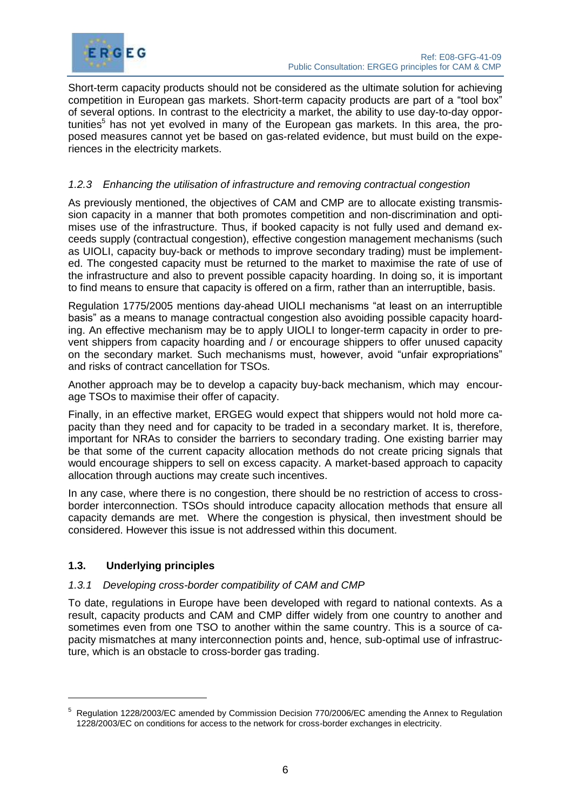

Short-term capacity products should not be considered as the ultimate solution for achieving competition in European gas markets. Short-term capacity products are part of a "tool box" of several options. In contrast to the electricity a market, the ability to use day-to-day opportunities<sup>5</sup> has not yet evolved in many of the European gas markets. In this area, the proposed measures cannot yet be based on gas-related evidence, but must build on the experiences in the electricity markets.

# <span id="page-9-0"></span>*1.2.3 Enhancing the utilisation of infrastructure and removing contractual congestion*

As previously mentioned, the objectives of CAM and CMP are to allocate existing transmission capacity in a manner that both promotes competition and non-discrimination and optimises use of the infrastructure. Thus, if booked capacity is not fully used and demand exceeds supply (contractual congestion), effective congestion management mechanisms (such as UIOLI, capacity buy-back or methods to improve secondary trading) must be implemented. The congested capacity must be returned to the market to maximise the rate of use of the infrastructure and also to prevent possible capacity hoarding. In doing so, it is important to find means to ensure that capacity is offered on a firm, rather than an interruptible, basis.

Regulation 1775/2005 mentions day-ahead UIOLI mechanisms "at least on an interruptible basis" as a means to manage contractual congestion also avoiding possible capacity hoarding. An effective mechanism may be to apply UIOLI to longer-term capacity in order to prevent shippers from capacity hoarding and / or encourage shippers to offer unused capacity on the secondary market. Such mechanisms must, however, avoid "unfair expropriations" and risks of contract cancellation for TSOs.

Another approach may be to develop a capacity buy-back mechanism, which may encourage TSOs to maximise their offer of capacity.

Finally, in an effective market, ERGEG would expect that shippers would not hold more capacity than they need and for capacity to be traded in a secondary market. It is, therefore, important for NRAs to consider the barriers to secondary trading. One existing barrier may be that some of the current capacity allocation methods do not create pricing signals that would encourage shippers to sell on excess capacity. A market-based approach to capacity allocation through auctions may create such incentives.

In any case, where there is no congestion, there should be no restriction of access to crossborder interconnection. TSOs should introduce capacity allocation methods that ensure all capacity demands are met. Where the congestion is physical, then investment should be considered. However this issue is not addressed within this document.

#### <span id="page-9-1"></span>**1.3. Underlying principles**

 $\overline{a}$ 

#### <span id="page-9-2"></span>*1.3.1 Developing cross-border compatibility of CAM and CMP*

To date, regulations in Europe have been developed with regard to national contexts. As a result, capacity products and CAM and CMP differ widely from one country to another and sometimes even from one TSO to another within the same country. This is a source of capacity mismatches at many interconnection points and, hence, sub-optimal use of infrastructure, which is an obstacle to cross-border gas trading.

<sup>5</sup> Regulation 1228/2003/EC amended by Commission Decision 770/2006/EC amending the Annex to Regulation 1228/2003/EC on conditions for access to the network for cross-border exchanges in electricity.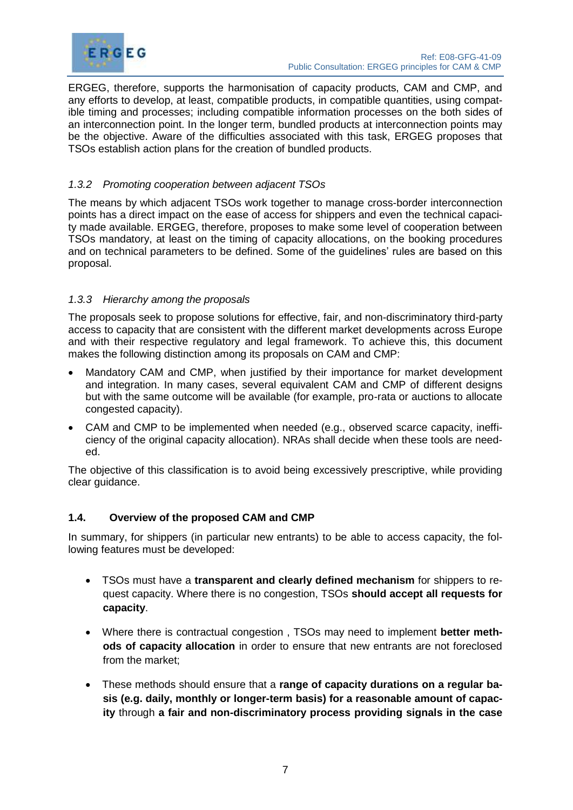

ERGEG, therefore, supports the harmonisation of capacity products, CAM and CMP, and any efforts to develop, at least, compatible products, in compatible quantities, using compatible timing and processes; including compatible information processes on the both sides of an interconnection point. In the longer term, bundled products at interconnection points may be the objective. Aware of the difficulties associated with this task, ERGEG proposes that TSOs establish action plans for the creation of bundled products.

# <span id="page-10-0"></span>*1.3.2 Promoting cooperation between adjacent TSOs*

The means by which adjacent TSOs work together to manage cross-border interconnection points has a direct impact on the ease of access for shippers and even the technical capacity made available. ERGEG, therefore, proposes to make some level of cooperation between TSOs mandatory, at least on the timing of capacity allocations, on the booking procedures and on technical parameters to be defined. Some of the guidelines' rules are based on this proposal.

# <span id="page-10-1"></span>*1.3.3 Hierarchy among the proposals*

The proposals seek to propose solutions for effective, fair, and non-discriminatory third-party access to capacity that are consistent with the different market developments across Europe and with their respective regulatory and legal framework. To achieve this, this document makes the following distinction among its proposals on CAM and CMP:

- Mandatory CAM and CMP, when justified by their importance for market development and integration. In many cases, several equivalent CAM and CMP of different designs but with the same outcome will be available (for example, pro-rata or auctions to allocate congested capacity).
- CAM and CMP to be implemented when needed (e.g., observed scarce capacity, inefficiency of the original capacity allocation). NRAs shall decide when these tools are needed.

The objective of this classification is to avoid being excessively prescriptive, while providing clear guidance.

#### <span id="page-10-2"></span>**1.4. Overview of the proposed CAM and CMP**

In summary, for shippers (in particular new entrants) to be able to access capacity, the following features must be developed:

- TSOs must have a **transparent and clearly defined mechanism** for shippers to request capacity. Where there is no congestion, TSOs **should accept all requests for capacity**.
- Where there is contractual congestion , TSOs may need to implement **better methods of capacity allocation** in order to ensure that new entrants are not foreclosed from the market;
- These methods should ensure that a **range of capacity durations on a regular basis (e.g. daily, monthly or longer-term basis) for a reasonable amount of capacity** through **a fair and non-discriminatory process providing signals in the case**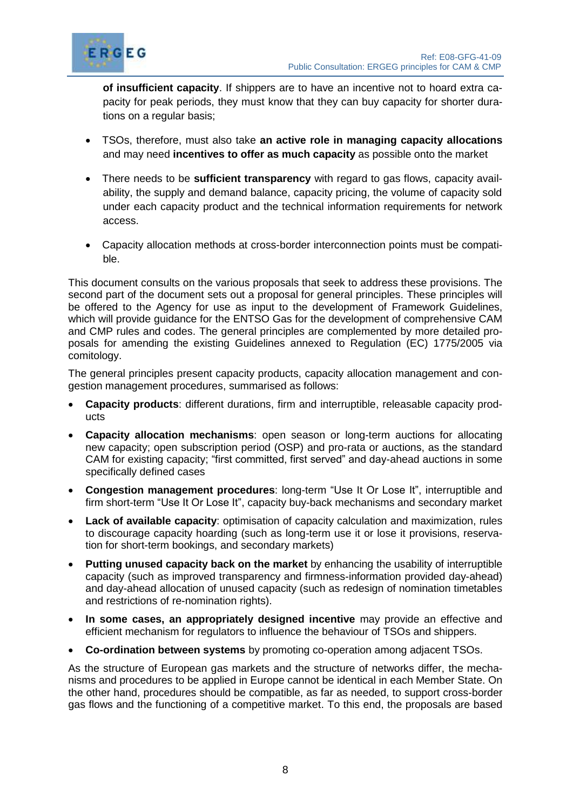

**of insufficient capacity**. If shippers are to have an incentive not to hoard extra capacity for peak periods, they must know that they can buy capacity for shorter durations on a regular basis;

- TSOs, therefore, must also take **an active role in managing capacity allocations** and may need **incentives to offer as much capacity** as possible onto the market
- There needs to be **sufficient transparency** with regard to gas flows, capacity availability, the supply and demand balance, capacity pricing, the volume of capacity sold under each capacity product and the technical information requirements for network access.
- Capacity allocation methods at cross-border interconnection points must be compatible.

This document consults on the various proposals that seek to address these provisions. The second part of the document sets out a proposal for general principles. These principles will be offered to the Agency for use as input to the development of Framework Guidelines, which will provide guidance for the ENTSO Gas for the development of comprehensive CAM and CMP rules and codes. The general principles are complemented by more detailed proposals for amending the existing Guidelines annexed to Regulation (EC) 1775/2005 via comitology.

The general principles present capacity products, capacity allocation management and congestion management procedures, summarised as follows:

- **Capacity products**: different durations, firm and interruptible, releasable capacity products
- **Capacity allocation mechanisms**: open season or long-term auctions for allocating new capacity; open subscription period (OSP) and pro-rata or auctions, as the standard CAM for existing capacity; "first committed, first served" and day-ahead auctions in some specifically defined cases
- **Congestion management procedures**: long-term "Use It Or Lose It", interruptible and firm short-term "Use It Or Lose It", capacity buy-back mechanisms and secondary market
- **Lack of available capacity**: optimisation of capacity calculation and maximization, rules to discourage capacity hoarding (such as long-term use it or lose it provisions, reservation for short-term bookings, and secondary markets)
- **Putting unused capacity back on the market** by enhancing the usability of interruptible capacity (such as improved transparency and firmness-information provided day-ahead) and day-ahead allocation of unused capacity (such as redesign of nomination timetables and restrictions of re-nomination rights).
- **In some cases, an appropriately designed incentive** may provide an effective and efficient mechanism for regulators to influence the behaviour of TSOs and shippers.
- **Co-ordination between systems** by promoting co-operation among adjacent TSOs.

As the structure of European gas markets and the structure of networks differ, the mechanisms and procedures to be applied in Europe cannot be identical in each Member State. On the other hand, procedures should be compatible, as far as needed, to support cross-border gas flows and the functioning of a competitive market. To this end, the proposals are based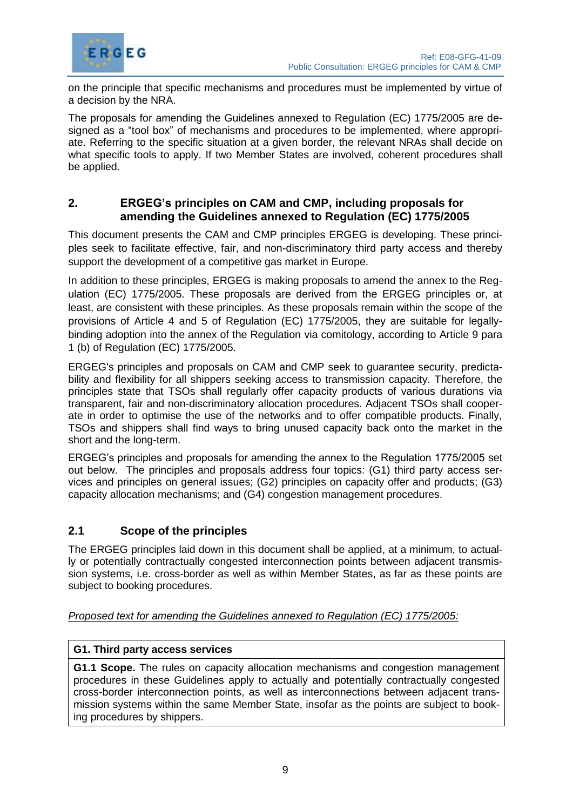

on the principle that specific mechanisms and procedures must be implemented by virtue of a decision by the NRA.

The proposals for amending the Guidelines annexed to Regulation (EC) 1775/2005 are designed as a "tool box" of mechanisms and procedures to be implemented, where appropriate. Referring to the specific situation at a given border, the relevant NRAs shall decide on what specific tools to apply. If two Member States are involved, coherent procedures shall be applied.

# <span id="page-12-0"></span>**2. ERGEG's principles on CAM and CMP, including proposals for amending the Guidelines annexed to Regulation (EC) 1775/2005**

This document presents the CAM and CMP principles ERGEG is developing. These principles seek to facilitate effective, fair, and non-discriminatory third party access and thereby support the development of a competitive gas market in Europe.

In addition to these principles, ERGEG is making proposals to amend the annex to the Regulation (EC) 1775/2005. These proposals are derived from the ERGEG principles or, at least, are consistent with these principles. As these proposals remain within the scope of the provisions of Article 4 and 5 of Regulation (EC) 1775/2005, they are suitable for legallybinding adoption into the annex of the Regulation via comitology, according to Article 9 para 1 (b) of Regulation (EC) 1775/2005.

ERGEG's principles and proposals on CAM and CMP seek to guarantee security, predictability and flexibility for all shippers seeking access to transmission capacity. Therefore, the principles state that TSOs shall regularly offer capacity products of various durations via transparent, fair and non-discriminatory allocation procedures. Adjacent TSOs shall cooperate in order to optimise the use of the networks and to offer compatible products. Finally, TSOs and shippers shall find ways to bring unused capacity back onto the market in the short and the long-term.

ERGEG's principles and proposals for amending the annex to the Regulation 1775/2005 set out below. The principles and proposals address four topics: (G1) third party access services and principles on general issues; (G2) principles on capacity offer and products; (G3) capacity allocation mechanisms; and (G4) congestion management procedures.

# <span id="page-12-1"></span>**2.1 Scope of the principles**

The ERGEG principles laid down in this document shall be applied, at a minimum, to actually or potentially contractually congested interconnection points between adjacent transmission systems, i.e. cross-border as well as within Member States, as far as these points are subject to booking procedures.

# *Proposed text for amending the Guidelines annexed to Regulation (EC) 1775/2005:*

# **G1. Third party access services**

**G1.1 Scope.** The rules on capacity allocation mechanisms and congestion management procedures in these Guidelines apply to actually and potentially contractually congested cross-border interconnection points, as well as interconnections between adjacent transmission systems within the same Member State, insofar as the points are subject to booking procedures by shippers.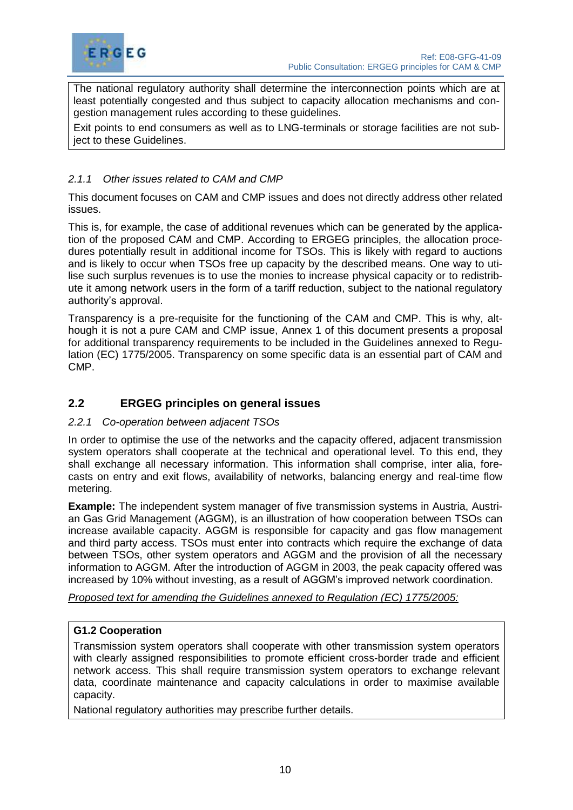

The national regulatory authority shall determine the interconnection points which are at least potentially congested and thus subject to capacity allocation mechanisms and congestion management rules according to these guidelines.

Exit points to end consumers as well as to LNG-terminals or storage facilities are not subject to these Guidelines.

# <span id="page-13-0"></span>*2.1.1 Other issues related to CAM and CMP*

This document focuses on CAM and CMP issues and does not directly address other related issues.

This is, for example, the case of additional revenues which can be generated by the application of the proposed CAM and CMP. According to ERGEG principles, the allocation procedures potentially result in additional income for TSOs. This is likely with regard to auctions and is likely to occur when TSOs free up capacity by the described means. One way to utilise such surplus revenues is to use the monies to increase physical capacity or to redistribute it among network users in the form of a tariff reduction, subject to the national regulatory authority's approval.

Transparency is a pre-requisite for the functioning of the CAM and CMP. This is why, although it is not a pure CAM and CMP issue, Annex 1 of this document presents a proposal for additional transparency requirements to be included in the Guidelines annexed to Regulation (EC) 1775/2005. Transparency on some specific data is an essential part of CAM and CMP.

# <span id="page-13-1"></span>**2.2 ERGEG principles on general issues**

#### <span id="page-13-2"></span>*2.2.1 Co-operation between adjacent TSOs*

In order to optimise the use of the networks and the capacity offered, adjacent transmission system operators shall cooperate at the technical and operational level. To this end, they shall exchange all necessary information. This information shall comprise, inter alia, forecasts on entry and exit flows, availability of networks, balancing energy and real-time flow metering.

**Example:** The independent system manager of five transmission systems in Austria, Austrian Gas Grid Management (AGGM), is an illustration of how cooperation between TSOs can increase available capacity. AGGM is responsible for capacity and gas flow management and third party access. TSOs must enter into contracts which require the exchange of data between TSOs, other system operators and AGGM and the provision of all the necessary information to AGGM. After the introduction of AGGM in 2003, the peak capacity offered was increased by 10% without investing, as a result of AGGM's improved network coordination.

*Proposed text for amending the Guidelines annexed to Regulation (EC) 1775/2005:*

#### **G1.2 Cooperation**

Transmission system operators shall cooperate with other transmission system operators with clearly assigned responsibilities to promote efficient cross-border trade and efficient network access. This shall require transmission system operators to exchange relevant data, coordinate maintenance and capacity calculations in order to maximise available capacity.

National regulatory authorities may prescribe further details.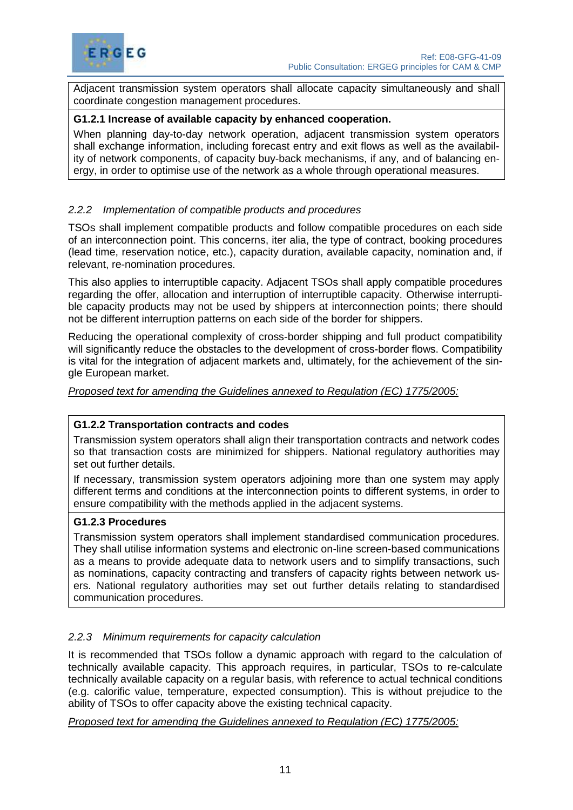

Adjacent transmission system operators shall allocate capacity simultaneously and shall coordinate congestion management procedures.

#### **G1.2.1 Increase of available capacity by enhanced cooperation.**

When planning day-to-day network operation, adjacent transmission system operators shall exchange information, including forecast entry and exit flows as well as the availability of network components, of capacity buy-back mechanisms, if any, and of balancing energy, in order to optimise use of the network as a whole through operational measures.

#### <span id="page-14-0"></span>*2.2.2 Implementation of compatible products and procedures*

TSOs shall implement compatible products and follow compatible procedures on each side of an interconnection point. This concerns, iter alia, the type of contract, booking procedures (lead time, reservation notice, etc.), capacity duration, available capacity, nomination and, if relevant, re-nomination procedures.

This also applies to interruptible capacity. Adjacent TSOs shall apply compatible procedures regarding the offer, allocation and interruption of interruptible capacity. Otherwise interruptible capacity products may not be used by shippers at interconnection points; there should not be different interruption patterns on each side of the border for shippers.

Reducing the operational complexity of cross-border shipping and full product compatibility will significantly reduce the obstacles to the development of cross-border flows. Compatibility is vital for the integration of adjacent markets and, ultimately, for the achievement of the single European market.

#### *Proposed text for amending the Guidelines annexed to Regulation (EC) 1775/2005:*

#### **G1.2.2 Transportation contracts and codes**

Transmission system operators shall align their transportation contracts and network codes so that transaction costs are minimized for shippers. National regulatory authorities may set out further details.

If necessary, transmission system operators adjoining more than one system may apply different terms and conditions at the interconnection points to different systems, in order to ensure compatibility with the methods applied in the adjacent systems.

#### **G1.2.3 Procedures**

Transmission system operators shall implement standardised communication procedures. They shall utilise information systems and electronic on-line screen-based communications as a means to provide adequate data to network users and to simplify transactions, such as nominations, capacity contracting and transfers of capacity rights between network users. National regulatory authorities may set out further details relating to standardised communication procedures.

#### <span id="page-14-1"></span>*2.2.3 Minimum requirements for capacity calculation*

It is recommended that TSOs follow a dynamic approach with regard to the calculation of technically available capacity. This approach requires, in particular, TSOs to re-calculate technically available capacity on a regular basis, with reference to actual technical conditions (e.g. calorific value, temperature, expected consumption). This is without prejudice to the ability of TSOs to offer capacity above the existing technical capacity.

*Proposed text for amending the Guidelines annexed to Regulation (EC) 1775/2005:*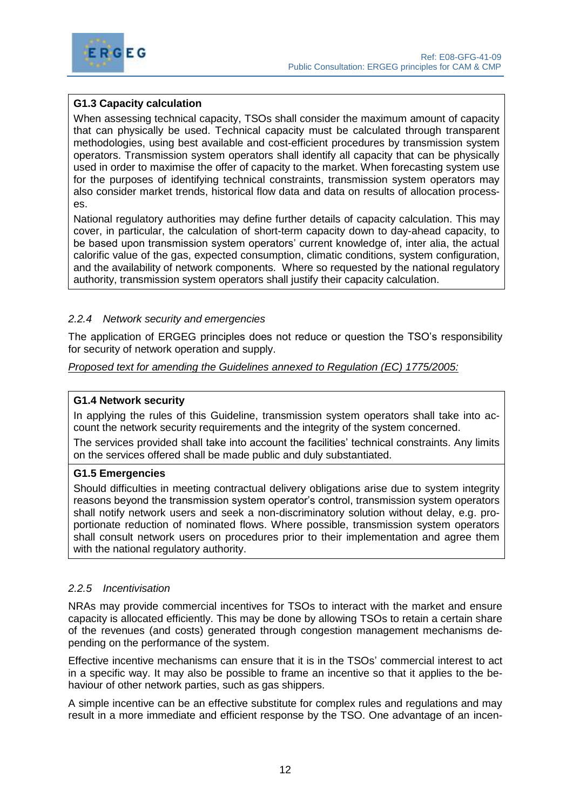



# **G1.3 Capacity calculation**

When assessing technical capacity, TSOs shall consider the maximum amount of capacity that can physically be used. Technical capacity must be calculated through transparent methodologies, using best available and cost-efficient procedures by transmission system operators. Transmission system operators shall identify all capacity that can be physically used in order to maximise the offer of capacity to the market. When forecasting system use for the purposes of identifying technical constraints, transmission system operators may also consider market trends, historical flow data and data on results of allocation processes.

National regulatory authorities may define further details of capacity calculation. This may cover, in particular, the calculation of short-term capacity down to day-ahead capacity, to be based upon transmission system operators' current knowledge of, inter alia, the actual calorific value of the gas, expected consumption, climatic conditions, system configuration, and the availability of network components. Where so requested by the national regulatory authority, transmission system operators shall justify their capacity calculation.

# <span id="page-15-0"></span>*2.2.4 Network security and emergencies*

The application of ERGEG principles does not reduce or question the TSO's responsibility for security of network operation and supply.

*Proposed text for amending the Guidelines annexed to Regulation (EC) 1775/2005:*

#### **G1.4 Network security**

In applying the rules of this Guideline, transmission system operators shall take into account the network security requirements and the integrity of the system concerned.

The services provided shall take into account the facilities' technical constraints. Any limits on the services offered shall be made public and duly substantiated.

#### **G1.5 Emergencies**

Should difficulties in meeting contractual delivery obligations arise due to system integrity reasons beyond the transmission system operator's control, transmission system operators shall notify network users and seek a non-discriminatory solution without delay, e.g. proportionate reduction of nominated flows. Where possible, transmission system operators shall consult network users on procedures prior to their implementation and agree them with the national regulatory authority.

#### <span id="page-15-1"></span>*2.2.5 Incentivisation*

NRAs may provide commercial incentives for TSOs to interact with the market and ensure capacity is allocated efficiently. This may be done by allowing TSOs to retain a certain share of the revenues (and costs) generated through congestion management mechanisms depending on the performance of the system.

Effective incentive mechanisms can ensure that it is in the TSOs' commercial interest to act in a specific way. It may also be possible to frame an incentive so that it applies to the behaviour of other network parties, such as gas shippers.

A simple incentive can be an effective substitute for complex rules and regulations and may result in a more immediate and efficient response by the TSO. One advantage of an incen-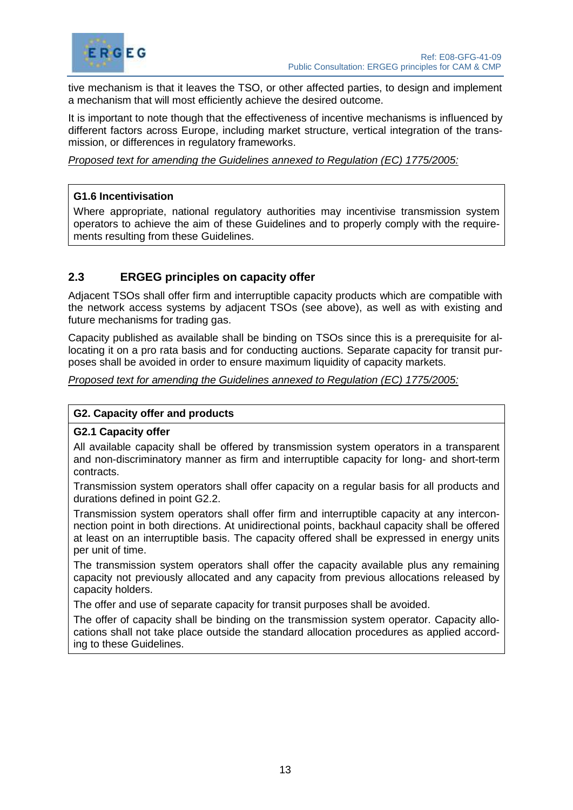

tive mechanism is that it leaves the TSO, or other affected parties, to design and implement a mechanism that will most efficiently achieve the desired outcome.

It is important to note though that the effectiveness of incentive mechanisms is influenced by different factors across Europe, including market structure, vertical integration of the transmission, or differences in regulatory frameworks.

*Proposed text for amending the Guidelines annexed to Regulation (EC) 1775/2005:*

#### **G1.6 Incentivisation**

Where appropriate, national regulatory authorities may incentivise transmission system operators to achieve the aim of these Guidelines and to properly comply with the requirements resulting from these Guidelines.

# <span id="page-16-0"></span>**2.3 ERGEG principles on capacity offer**

Adjacent TSOs shall offer firm and interruptible capacity products which are compatible with the network access systems by adjacent TSOs (see above), as well as with existing and future mechanisms for trading gas.

Capacity published as available shall be binding on TSOs since this is a prerequisite for allocating it on a pro rata basis and for conducting auctions. Separate capacity for transit purposes shall be avoided in order to ensure maximum liquidity of capacity markets.

*Proposed text for amending the Guidelines annexed to Regulation (EC) 1775/2005:*

#### **G2. Capacity offer and products**

#### **G2.1 Capacity offer**

All available capacity shall be offered by transmission system operators in a transparent and non-discriminatory manner as firm and interruptible capacity for long- and short-term contracts.

Transmission system operators shall offer capacity on a regular basis for all products and durations defined in point G2.2.

Transmission system operators shall offer firm and interruptible capacity at any interconnection point in both directions. At unidirectional points, backhaul capacity shall be offered at least on an interruptible basis. The capacity offered shall be expressed in energy units per unit of time.

The transmission system operators shall offer the capacity available plus any remaining capacity not previously allocated and any capacity from previous allocations released by capacity holders.

The offer and use of separate capacity for transit purposes shall be avoided.

The offer of capacity shall be binding on the transmission system operator. Capacity allocations shall not take place outside the standard allocation procedures as applied according to these Guidelines.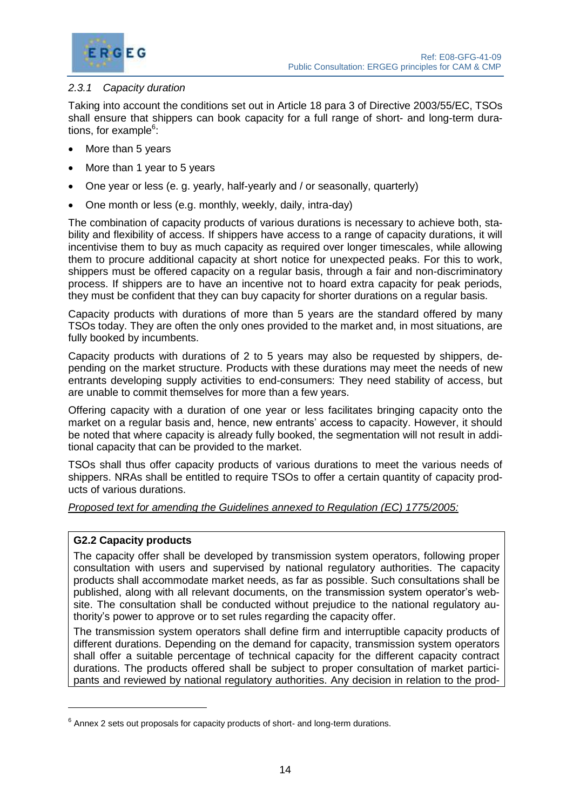



# <span id="page-17-0"></span>*2.3.1 Capacity duration*

Taking into account the conditions set out in Article 18 para 3 of Directive 2003/55/EC, TSOs shall ensure that shippers can book capacity for a full range of short- and long-term durations, for example<sup>6</sup>:

- More than 5 years
- More than 1 year to 5 years
- One year or less (e. g. yearly, half-yearly and / or seasonally, quarterly)
- One month or less (e.g. monthly, weekly, daily, intra-day)

The combination of capacity products of various durations is necessary to achieve both, stability and flexibility of access. If shippers have access to a range of capacity durations, it will incentivise them to buy as much capacity as required over longer timescales, while allowing them to procure additional capacity at short notice for unexpected peaks. For this to work, shippers must be offered capacity on a regular basis, through a fair and non-discriminatory process. If shippers are to have an incentive not to hoard extra capacity for peak periods, they must be confident that they can buy capacity for shorter durations on a regular basis.

Capacity products with durations of more than 5 years are the standard offered by many TSOs today. They are often the only ones provided to the market and, in most situations, are fully booked by incumbents.

Capacity products with durations of 2 to 5 years may also be requested by shippers, depending on the market structure. Products with these durations may meet the needs of new entrants developing supply activities to end-consumers: They need stability of access, but are unable to commit themselves for more than a few years.

Offering capacity with a duration of one year or less facilitates bringing capacity onto the market on a regular basis and, hence, new entrants' access to capacity. However, it should be noted that where capacity is already fully booked, the segmentation will not result in additional capacity that can be provided to the market.

TSOs shall thus offer capacity products of various durations to meet the various needs of shippers. NRAs shall be entitled to require TSOs to offer a certain quantity of capacity products of various durations.

#### *Proposed text for amending the Guidelines annexed to Regulation (EC) 1775/2005:*

# **G2.2 Capacity products**

The capacity offer shall be developed by transmission system operators, following proper consultation with users and supervised by national regulatory authorities. The capacity products shall accommodate market needs, as far as possible. Such consultations shall be published, along with all relevant documents, on the transmission system operator's website. The consultation shall be conducted without prejudice to the national regulatory authority's power to approve or to set rules regarding the capacity offer.

The transmission system operators shall define firm and interruptible capacity products of different durations. Depending on the demand for capacity, transmission system operators shall offer a suitable percentage of technical capacity for the different capacity contract durations. The products offered shall be subject to proper consultation of market participants and reviewed by national regulatory authorities. Any decision in relation to the prod-

 $^6$  Annex 2 sets out proposals for capacity products of short- and long-term durations.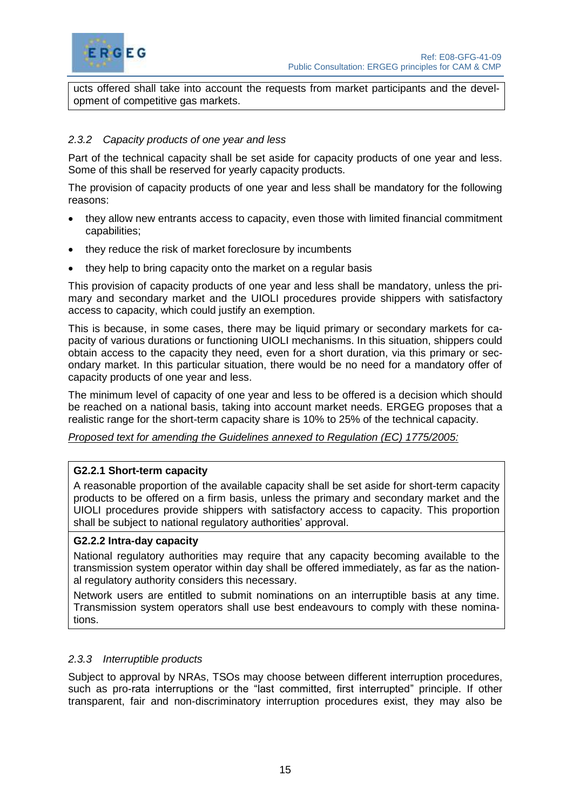

ucts offered shall take into account the requests from market participants and the development of competitive gas markets.

# <span id="page-18-0"></span>*2.3.2 Capacity products of one year and less*

Part of the technical capacity shall be set aside for capacity products of one year and less. Some of this shall be reserved for yearly capacity products.

The provision of capacity products of one year and less shall be mandatory for the following reasons:

- they allow new entrants access to capacity, even those with limited financial commitment capabilities;
- they reduce the risk of market foreclosure by incumbents
- they help to bring capacity onto the market on a regular basis

This provision of capacity products of one year and less shall be mandatory, unless the primary and secondary market and the UIOLI procedures provide shippers with satisfactory access to capacity, which could justify an exemption.

This is because, in some cases, there may be liquid primary or secondary markets for capacity of various durations or functioning UIOLI mechanisms. In this situation, shippers could obtain access to the capacity they need, even for a short duration, via this primary or secondary market. In this particular situation, there would be no need for a mandatory offer of capacity products of one year and less.

The minimum level of capacity of one year and less to be offered is a decision which should be reached on a national basis, taking into account market needs. ERGEG proposes that a realistic range for the short-term capacity share is 10% to 25% of the technical capacity.

*Proposed text for amending the Guidelines annexed to Regulation (EC) 1775/2005:*

#### **G2.2.1 Short-term capacity**

A reasonable proportion of the available capacity shall be set aside for short-term capacity products to be offered on a firm basis, unless the primary and secondary market and the UIOLI procedures provide shippers with satisfactory access to capacity. This proportion shall be subject to national regulatory authorities' approval.

#### **G2.2.2 Intra-day capacity**

National regulatory authorities may require that any capacity becoming available to the transmission system operator within day shall be offered immediately, as far as the national regulatory authority considers this necessary.

Network users are entitled to submit nominations on an interruptible basis at any time. Transmission system operators shall use best endeavours to comply with these nominations.

#### <span id="page-18-1"></span>*2.3.3 Interruptible products*

Subject to approval by NRAs, TSOs may choose between different interruption procedures, such as pro-rata interruptions or the "last committed, first interrupted" principle. If other transparent, fair and non-discriminatory interruption procedures exist, they may also be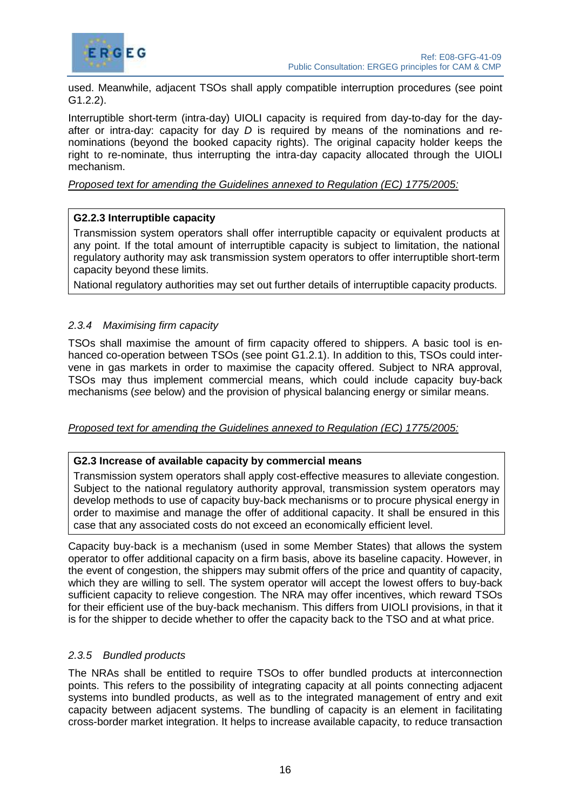



used. Meanwhile, adjacent TSOs shall apply compatible interruption procedures (see point G1.2.2).

Interruptible short-term (intra-day) UIOLI capacity is required from day-to-day for the dayafter or intra-day: capacity for day *D* is required by means of the nominations and renominations (beyond the booked capacity rights). The original capacity holder keeps the right to re-nominate, thus interrupting the intra-day capacity allocated through the UIOLI mechanism.

#### *Proposed text for amending the Guidelines annexed to Regulation (EC) 1775/2005:*

#### **G2.2.3 Interruptible capacity**

Transmission system operators shall offer interruptible capacity or equivalent products at any point. If the total amount of interruptible capacity is subject to limitation, the national regulatory authority may ask transmission system operators to offer interruptible short-term capacity beyond these limits.

National regulatory authorities may set out further details of interruptible capacity products.

# <span id="page-19-0"></span>*2.3.4 Maximising firm capacity*

TSOs shall maximise the amount of firm capacity offered to shippers. A basic tool is enhanced co-operation between TSOs (see point G1.2.1). In addition to this, TSOs could intervene in gas markets in order to maximise the capacity offered. Subject to NRA approval, TSOs may thus implement commercial means, which could include capacity buy-back mechanisms (*see* below) and the provision of physical balancing energy or similar means.

#### *Proposed text for amending the Guidelines annexed to Regulation (EC) 1775/2005:*

#### **G2.3 Increase of available capacity by commercial means**

Transmission system operators shall apply cost-effective measures to alleviate congestion. Subject to the national regulatory authority approval, transmission system operators may develop methods to use of capacity buy-back mechanisms or to procure physical energy in order to maximise and manage the offer of additional capacity. It shall be ensured in this case that any associated costs do not exceed an economically efficient level.

Capacity buy-back is a mechanism (used in some Member States) that allows the system operator to offer additional capacity on a firm basis, above its baseline capacity. However, in the event of congestion, the shippers may submit offers of the price and quantity of capacity, which they are willing to sell. The system operator will accept the lowest offers to buy-back sufficient capacity to relieve congestion. The NRA may offer incentives, which reward TSOs for their efficient use of the buy-back mechanism. This differs from UIOLI provisions, in that it is for the shipper to decide whether to offer the capacity back to the TSO and at what price.

#### <span id="page-19-1"></span>*2.3.5 Bundled products*

The NRAs shall be entitled to require TSOs to offer bundled products at interconnection points. This refers to the possibility of integrating capacity at all points connecting adjacent systems into bundled products, as well as to the integrated management of entry and exit capacity between adjacent systems. The bundling of capacity is an element in facilitating cross-border market integration. It helps to increase available capacity, to reduce transaction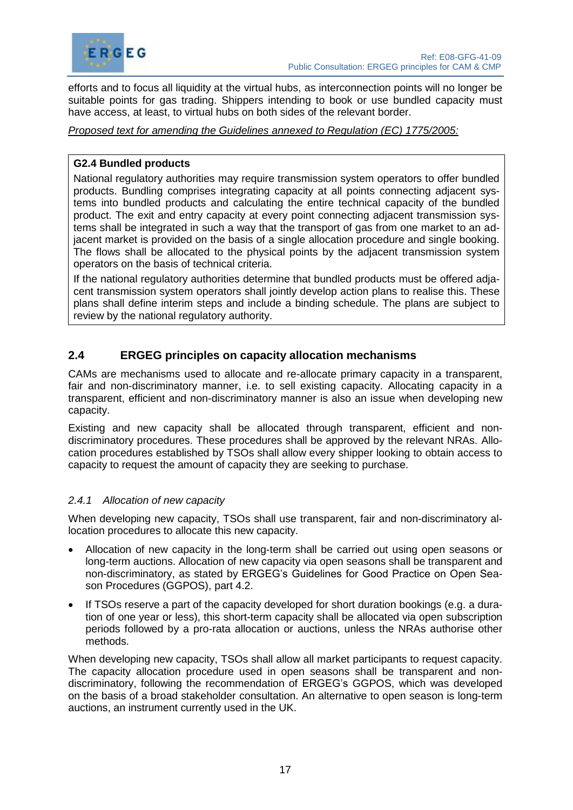

efforts and to focus all liquidity at the virtual hubs, as interconnection points will no longer be suitable points for gas trading. Shippers intending to book or use bundled capacity must have access, at least, to virtual hubs on both sides of the relevant border.

*Proposed text for amending the Guidelines annexed to Regulation (EC) 1775/2005:*

#### **G2.4 Bundled products**

National regulatory authorities may require transmission system operators to offer bundled products. Bundling comprises integrating capacity at all points connecting adjacent systems into bundled products and calculating the entire technical capacity of the bundled product. The exit and entry capacity at every point connecting adjacent transmission systems shall be integrated in such a way that the transport of gas from one market to an adjacent market is provided on the basis of a single allocation procedure and single booking. The flows shall be allocated to the physical points by the adjacent transmission system operators on the basis of technical criteria.

If the national regulatory authorities determine that bundled products must be offered adjacent transmission system operators shall jointly develop action plans to realise this. These plans shall define interim steps and include a binding schedule. The plans are subject to review by the national regulatory authority.

# <span id="page-20-0"></span>**2.4 ERGEG principles on capacity allocation mechanisms**

CAMs are mechanisms used to allocate and re-allocate primary capacity in a transparent, fair and non-discriminatory manner, i.e. to sell existing capacity. Allocating capacity in a transparent, efficient and non-discriminatory manner is also an issue when developing new capacity.

Existing and new capacity shall be allocated through transparent, efficient and nondiscriminatory procedures. These procedures shall be approved by the relevant NRAs. Allocation procedures established by TSOs shall allow every shipper looking to obtain access to capacity to request the amount of capacity they are seeking to purchase.

#### <span id="page-20-1"></span>*2.4.1 Allocation of new capacity*

When developing new capacity, TSOs shall use transparent, fair and non-discriminatory allocation procedures to allocate this new capacity.

- Allocation of new capacity in the long-term shall be carried out using open seasons or long-term auctions. Allocation of new capacity via open seasons shall be transparent and non-discriminatory, as stated by ERGEG's Guidelines for Good Practice on Open Season Procedures (GGPOS), part 4.2.
- If TSOs reserve a part of the capacity developed for short duration bookings (e.g. a duration of one year or less), this short-term capacity shall be allocated via open subscription periods followed by a pro-rata allocation or auctions, unless the NRAs authorise other methods.

When developing new capacity, TSOs shall allow all market participants to request capacity. The capacity allocation procedure used in open seasons shall be transparent and nondiscriminatory, following the recommendation of ERGEG's GGPOS, which was developed on the basis of a broad stakeholder consultation. An alternative to open season is long-term auctions, an instrument currently used in the UK.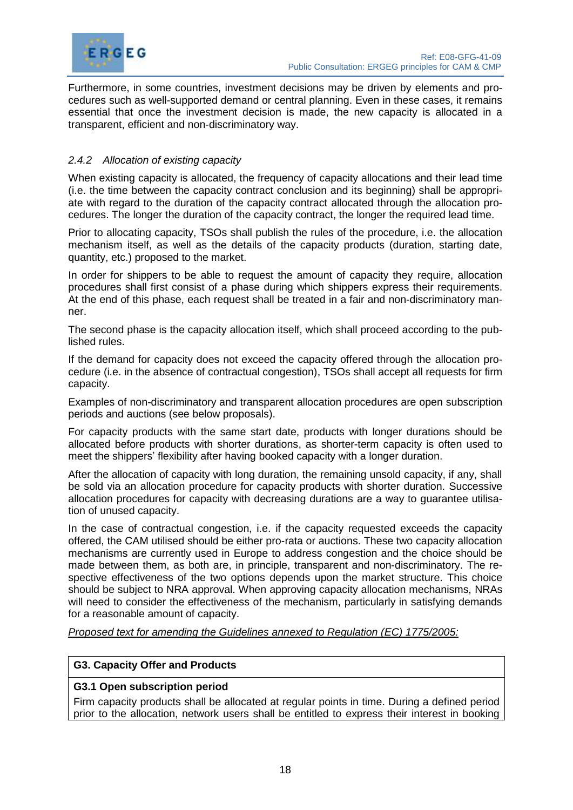

Furthermore, in some countries, investment decisions may be driven by elements and procedures such as well-supported demand or central planning. Even in these cases, it remains essential that once the investment decision is made, the new capacity is allocated in a transparent, efficient and non-discriminatory way.

# <span id="page-21-0"></span>*2.4.2 Allocation of existing capacity*

When existing capacity is allocated, the frequency of capacity allocations and their lead time (i.e. the time between the capacity contract conclusion and its beginning) shall be appropriate with regard to the duration of the capacity contract allocated through the allocation procedures. The longer the duration of the capacity contract, the longer the required lead time.

Prior to allocating capacity, TSOs shall publish the rules of the procedure, i.e. the allocation mechanism itself, as well as the details of the capacity products (duration, starting date, quantity, etc.) proposed to the market.

In order for shippers to be able to request the amount of capacity they require, allocation procedures shall first consist of a phase during which shippers express their requirements. At the end of this phase, each request shall be treated in a fair and non-discriminatory manner.

The second phase is the capacity allocation itself, which shall proceed according to the published rules.

If the demand for capacity does not exceed the capacity offered through the allocation procedure (i.e. in the absence of contractual congestion), TSOs shall accept all requests for firm capacity.

Examples of non-discriminatory and transparent allocation procedures are open subscription periods and auctions (see below proposals).

For capacity products with the same start date, products with longer durations should be allocated before products with shorter durations, as shorter-term capacity is often used to meet the shippers' flexibility after having booked capacity with a longer duration.

After the allocation of capacity with long duration, the remaining unsold capacity, if any, shall be sold via an allocation procedure for capacity products with shorter duration. Successive allocation procedures for capacity with decreasing durations are a way to guarantee utilisation of unused capacity.

In the case of contractual congestion, i.e. if the capacity requested exceeds the capacity offered, the CAM utilised should be either pro-rata or auctions. These two capacity allocation mechanisms are currently used in Europe to address congestion and the choice should be made between them, as both are, in principle, transparent and non-discriminatory. The respective effectiveness of the two options depends upon the market structure. This choice should be subject to NRA approval. When approving capacity allocation mechanisms, NRAs will need to consider the effectiveness of the mechanism, particularly in satisfying demands for a reasonable amount of capacity.

*Proposed text for amending the Guidelines annexed to Regulation (EC) 1775/2005:*

#### **G3. Capacity Offer and Products**

#### **G3.1 Open subscription period**

Firm capacity products shall be allocated at regular points in time. During a defined period prior to the allocation, network users shall be entitled to express their interest in booking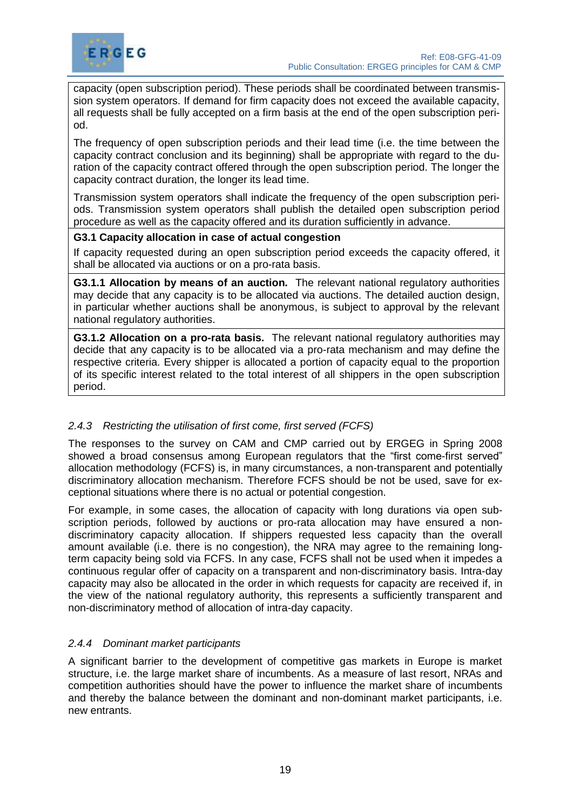

capacity (open subscription period). These periods shall be coordinated between transmission system operators. If demand for firm capacity does not exceed the available capacity, all requests shall be fully accepted on a firm basis at the end of the open subscription period.

The frequency of open subscription periods and their lead time (i.e. the time between the capacity contract conclusion and its beginning) shall be appropriate with regard to the duration of the capacity contract offered through the open subscription period. The longer the capacity contract duration, the longer its lead time.

Transmission system operators shall indicate the frequency of the open subscription periods. Transmission system operators shall publish the detailed open subscription period procedure as well as the capacity offered and its duration sufficiently in advance.

# **G3.1 Capacity allocation in case of actual congestion**

If capacity requested during an open subscription period exceeds the capacity offered, it shall be allocated via auctions or on a pro-rata basis.

**G3.1.1 Allocation by means of an auction.** The relevant national regulatory authorities may decide that any capacity is to be allocated via auctions. The detailed auction design, in particular whether auctions shall be anonymous, is subject to approval by the relevant national regulatory authorities.

**G3.1.2 Allocation on a pro-rata basis.** The relevant national regulatory authorities may decide that any capacity is to be allocated via a pro-rata mechanism and may define the respective criteria. Every shipper is allocated a portion of capacity equal to the proportion of its specific interest related to the total interest of all shippers in the open subscription period.

# <span id="page-22-0"></span>*2.4.3 Restricting the utilisation of first come, first served (FCFS)*

The responses to the survey on CAM and CMP carried out by ERGEG in Spring 2008 showed a broad consensus among European regulators that the "first come-first served" allocation methodology (FCFS) is, in many circumstances, a non-transparent and potentially discriminatory allocation mechanism. Therefore FCFS should be not be used, save for exceptional situations where there is no actual or potential congestion.

For example, in some cases, the allocation of capacity with long durations via open subscription periods, followed by auctions or pro-rata allocation may have ensured a nondiscriminatory capacity allocation. If shippers requested less capacity than the overall amount available (i.e. there is no congestion), the NRA may agree to the remaining longterm capacity being sold via FCFS. In any case, FCFS shall not be used when it impedes a continuous regular offer of capacity on a transparent and non-discriminatory basis. Intra-day capacity may also be allocated in the order in which requests for capacity are received if, in the view of the national regulatory authority, this represents a sufficiently transparent and non-discriminatory method of allocation of intra-day capacity.

#### <span id="page-22-1"></span>*2.4.4 Dominant market participants*

A significant barrier to the development of competitive gas markets in Europe is market structure, i.e. the large market share of incumbents. As a measure of last resort, NRAs and competition authorities should have the power to influence the market share of incumbents and thereby the balance between the dominant and non-dominant market participants, i.e. new entrants.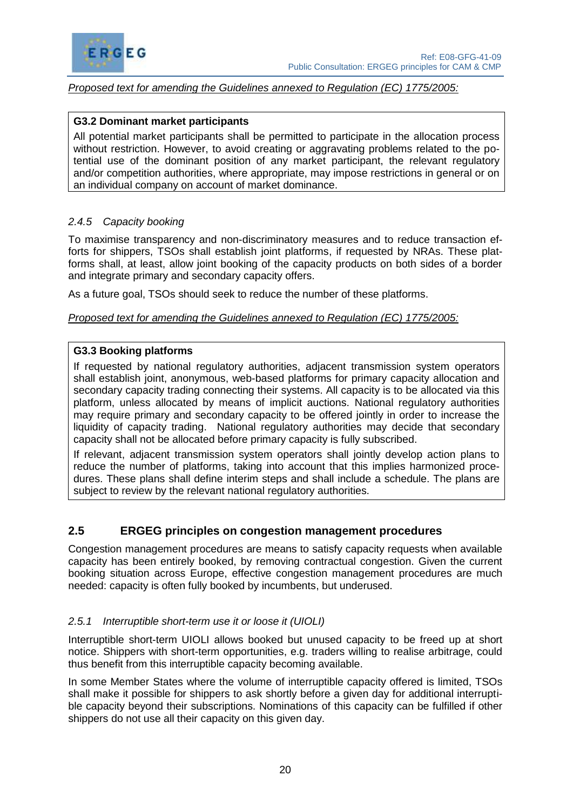

#### *Proposed text for amending the Guidelines annexed to Regulation (EC) 1775/2005:*

#### **G3.2 Dominant market participants**

All potential market participants shall be permitted to participate in the allocation process without restriction. However, to avoid creating or aggravating problems related to the potential use of the dominant position of any market participant, the relevant regulatory and/or competition authorities, where appropriate, may impose restrictions in general or on an individual company on account of market dominance.

#### <span id="page-23-0"></span>*2.4.5 Capacity booking*

To maximise transparency and non-discriminatory measures and to reduce transaction efforts for shippers, TSOs shall establish joint platforms, if requested by NRAs. These platforms shall, at least, allow joint booking of the capacity products on both sides of a border and integrate primary and secondary capacity offers.

As a future goal, TSOs should seek to reduce the number of these platforms.

*Proposed text for amending the Guidelines annexed to Regulation (EC) 1775/2005:*

#### **G3.3 Booking platforms**

If requested by national regulatory authorities, adjacent transmission system operators shall establish joint, anonymous, web-based platforms for primary capacity allocation and secondary capacity trading connecting their systems. All capacity is to be allocated via this platform, unless allocated by means of implicit auctions. National regulatory authorities may require primary and secondary capacity to be offered jointly in order to increase the liquidity of capacity trading. National regulatory authorities may decide that secondary capacity shall not be allocated before primary capacity is fully subscribed.

If relevant, adjacent transmission system operators shall jointly develop action plans to reduce the number of platforms, taking into account that this implies harmonized procedures. These plans shall define interim steps and shall include a schedule. The plans are subject to review by the relevant national regulatory authorities.

# <span id="page-23-1"></span>**2.5 ERGEG principles on congestion management procedures**

Congestion management procedures are means to satisfy capacity requests when available capacity has been entirely booked, by removing contractual congestion. Given the current booking situation across Europe, effective congestion management procedures are much needed: capacity is often fully booked by incumbents, but underused.

#### <span id="page-23-2"></span>*2.5.1 Interruptible short-term use it or loose it (UIOLI)*

Interruptible short-term UIOLI allows booked but unused capacity to be freed up at short notice. Shippers with short-term opportunities, e.g. traders willing to realise arbitrage, could thus benefit from this interruptible capacity becoming available.

In some Member States where the volume of interruptible capacity offered is limited, TSOs shall make it possible for shippers to ask shortly before a given day for additional interruptible capacity beyond their subscriptions. Nominations of this capacity can be fulfilled if other shippers do not use all their capacity on this given day.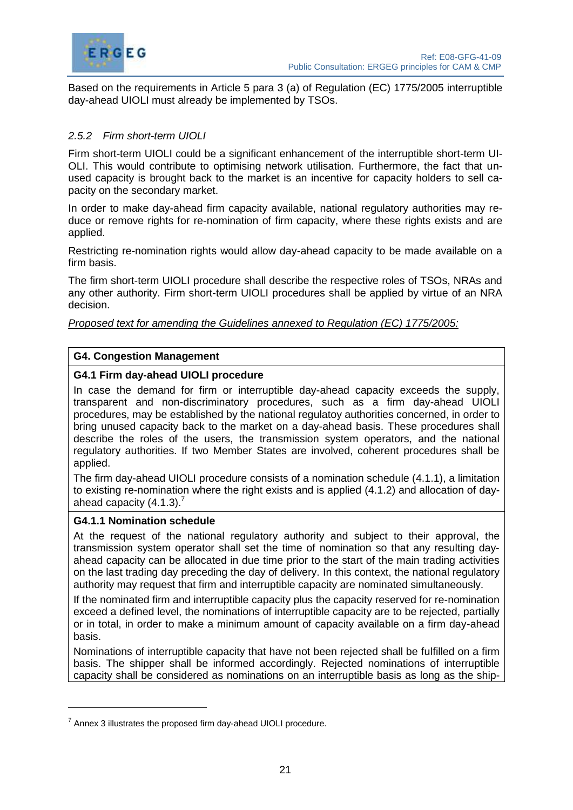

Based on the requirements in Article 5 para 3 (a) of Regulation (EC) 1775/2005 interruptible day-ahead UIOLI must already be implemented by TSOs.

# <span id="page-24-0"></span>*2.5.2 Firm short-term UIOLI*

Firm short-term UIOLI could be a significant enhancement of the interruptible short-term UI-OLI. This would contribute to optimising network utilisation. Furthermore, the fact that unused capacity is brought back to the market is an incentive for capacity holders to sell capacity on the secondary market.

In order to make day-ahead firm capacity available, national regulatory authorities may reduce or remove rights for re-nomination of firm capacity, where these rights exists and are applied.

Restricting re-nomination rights would allow day-ahead capacity to be made available on a firm basis.

The firm short-term UIOLI procedure shall describe the respective roles of TSOs, NRAs and any other authority. Firm short-term UIOLI procedures shall be applied by virtue of an NRA decision.

*Proposed text for amending the Guidelines annexed to Regulation (EC) 1775/2005:*

# **G4. Congestion Management**

# **G4.1 Firm day-ahead UIOLI procedure**

In case the demand for firm or interruptible day-ahead capacity exceeds the supply, transparent and non-discriminatory procedures, such as a firm day-ahead UIOLI procedures, may be established by the national regulatoy authorities concerned, in order to bring unused capacity back to the market on a day-ahead basis. These procedures shall describe the roles of the users, the transmission system operators, and the national regulatory authorities. If two Member States are involved, coherent procedures shall be applied.

The firm day-ahead UIOLI procedure consists of a nomination schedule (4.1.1), a limitation to existing re-nomination where the right exists and is applied (4.1.2) and allocation of dayahead capacity  $(4.1.3).$ <sup>7</sup>

#### **G4.1.1 Nomination schedule**

At the request of the national regulatory authority and subject to their approval, the transmission system operator shall set the time of nomination so that any resulting dayahead capacity can be allocated in due time prior to the start of the main trading activities on the last trading day preceding the day of delivery. In this context, the national regulatory authority may request that firm and interruptible capacity are nominated simultaneously.

If the nominated firm and interruptible capacity plus the capacity reserved for re-nomination exceed a defined level, the nominations of interruptible capacity are to be rejected, partially or in total, in order to make a minimum amount of capacity available on a firm day-ahead basis.

Nominations of interruptible capacity that have not been rejected shall be fulfilled on a firm basis. The shipper shall be informed accordingly. Rejected nominations of interruptible capacity shall be considered as nominations on an interruptible basis as long as the ship-

 $7$  Annex 3 illustrates the proposed firm day-ahead UIOLI procedure.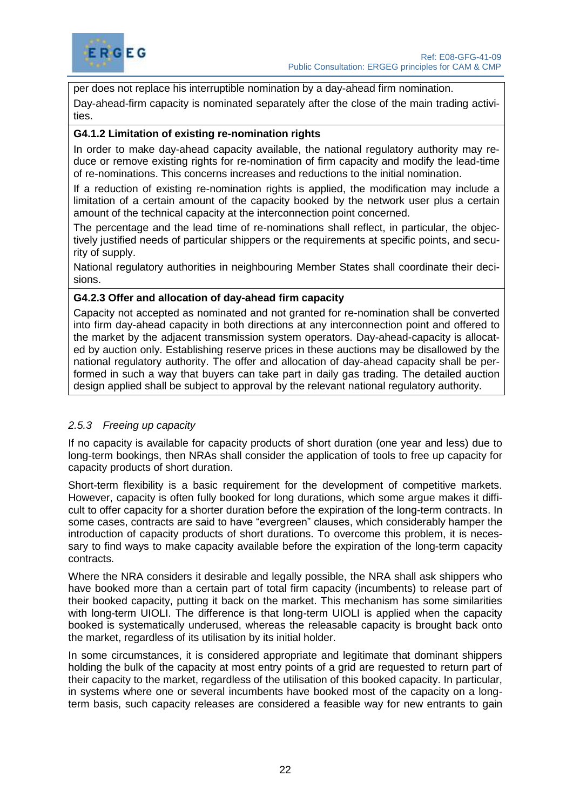

per does not replace his interruptible nomination by a day-ahead firm nomination. Day-ahead-firm capacity is nominated separately after the close of the main trading activities.

# **G4.1.2 Limitation of existing re-nomination rights**

In order to make day-ahead capacity available, the national regulatory authority may reduce or remove existing rights for re-nomination of firm capacity and modify the lead-time of re-nominations. This concerns increases and reductions to the initial nomination.

If a reduction of existing re-nomination rights is applied, the modification may include a limitation of a certain amount of the capacity booked by the network user plus a certain amount of the technical capacity at the interconnection point concerned.

The percentage and the lead time of re-nominations shall reflect, in particular, the objectively justified needs of particular shippers or the requirements at specific points, and security of supply.

National regulatory authorities in neighbouring Member States shall coordinate their decisions.

#### **G4.2.3 Offer and allocation of day-ahead firm capacity**

Capacity not accepted as nominated and not granted for re-nomination shall be converted into firm day-ahead capacity in both directions at any interconnection point and offered to the market by the adjacent transmission system operators. Day-ahead-capacity is allocated by auction only. Establishing reserve prices in these auctions may be disallowed by the national regulatory authority. The offer and allocation of day-ahead capacity shall be performed in such a way that buyers can take part in daily gas trading. The detailed auction design applied shall be subject to approval by the relevant national regulatory authority.

#### <span id="page-25-0"></span>*2.5.3 Freeing up capacity*

If no capacity is available for capacity products of short duration (one year and less) due to long-term bookings, then NRAs shall consider the application of tools to free up capacity for capacity products of short duration.

Short-term flexibility is a basic requirement for the development of competitive markets. However, capacity is often fully booked for long durations, which some argue makes it difficult to offer capacity for a shorter duration before the expiration of the long-term contracts. In some cases, contracts are said to have "evergreen" clauses, which considerably hamper the introduction of capacity products of short durations. To overcome this problem, it is necessary to find ways to make capacity available before the expiration of the long-term capacity contracts.

Where the NRA considers it desirable and legally possible, the NRA shall ask shippers who have booked more than a certain part of total firm capacity (incumbents) to release part of their booked capacity, putting it back on the market. This mechanism has some similarities with long-term UIOLI. The difference is that long-term UIOLI is applied when the capacity booked is systematically underused, whereas the releasable capacity is brought back onto the market, regardless of its utilisation by its initial holder.

In some circumstances, it is considered appropriate and legitimate that dominant shippers holding the bulk of the capacity at most entry points of a grid are requested to return part of their capacity to the market, regardless of the utilisation of this booked capacity. In particular, in systems where one or several incumbents have booked most of the capacity on a longterm basis, such capacity releases are considered a feasible way for new entrants to gain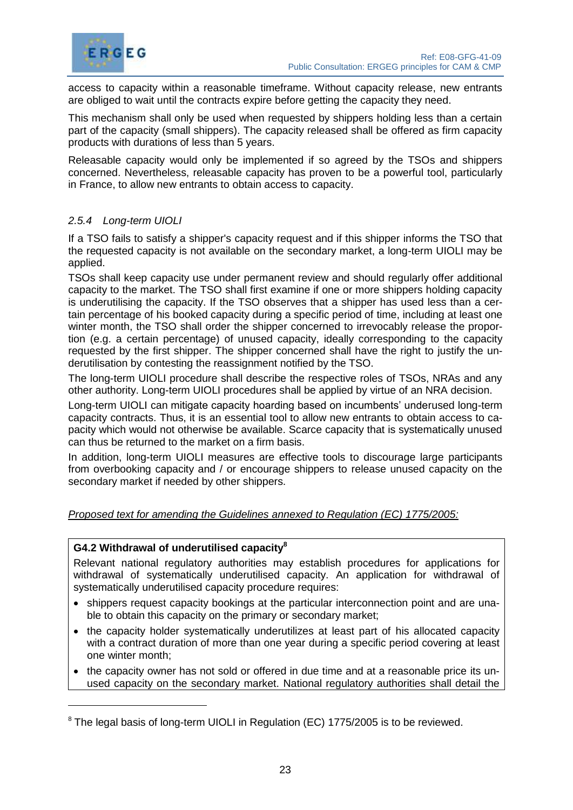

access to capacity within a reasonable timeframe. Without capacity release, new entrants are obliged to wait until the contracts expire before getting the capacity they need.

This mechanism shall only be used when requested by shippers holding less than a certain part of the capacity (small shippers). The capacity released shall be offered as firm capacity products with durations of less than 5 years.

Releasable capacity would only be implemented if so agreed by the TSOs and shippers concerned. Nevertheless, releasable capacity has proven to be a powerful tool, particularly in France, to allow new entrants to obtain access to capacity.

# <span id="page-26-0"></span>*2.5.4 Long-term UIOLI*

If a TSO fails to satisfy a shipper's capacity request and if this shipper informs the TSO that the requested capacity is not available on the secondary market, a long-term UIOLI may be applied.

TSOs shall keep capacity use under permanent review and should regularly offer additional capacity to the market. The TSO shall first examine if one or more shippers holding capacity is underutilising the capacity. If the TSO observes that a shipper has used less than a certain percentage of his booked capacity during a specific period of time, including at least one winter month, the TSO shall order the shipper concerned to irrevocably release the proportion (e.g. a certain percentage) of unused capacity, ideally corresponding to the capacity requested by the first shipper. The shipper concerned shall have the right to justify the underutilisation by contesting the reassignment notified by the TSO.

The long-term UIOLI procedure shall describe the respective roles of TSOs, NRAs and any other authority. Long-term UIOLI procedures shall be applied by virtue of an NRA decision.

Long-term UIOLI can mitigate capacity hoarding based on incumbents' underused long-term capacity contracts. Thus, it is an essential tool to allow new entrants to obtain access to capacity which would not otherwise be available. Scarce capacity that is systematically unused can thus be returned to the market on a firm basis.

In addition, long-term UIOLI measures are effective tools to discourage large participants from overbooking capacity and / or encourage shippers to release unused capacity on the secondary market if needed by other shippers.

#### *Proposed text for amending the Guidelines annexed to Regulation (EC) 1775/2005:*

# **G4.2 Withdrawal of underutilised capacity<sup>8</sup>**

Relevant national regulatory authorities may establish procedures for applications for withdrawal of systematically underutilised capacity. An application for withdrawal of systematically underutilised capacity procedure requires:

- shippers request capacity bookings at the particular interconnection point and are unable to obtain this capacity on the primary or secondary market;
- the capacity holder systematically underutilizes at least part of his allocated capacity with a contract duration of more than one year during a specific period covering at least one winter month;
- the capacity owner has not sold or offered in due time and at a reasonable price its unused capacity on the secondary market. National regulatory authorities shall detail the

<sup>&</sup>lt;sup>8</sup> The legal basis of long-term UIOLI in Regulation (EC) 1775/2005 is to be reviewed.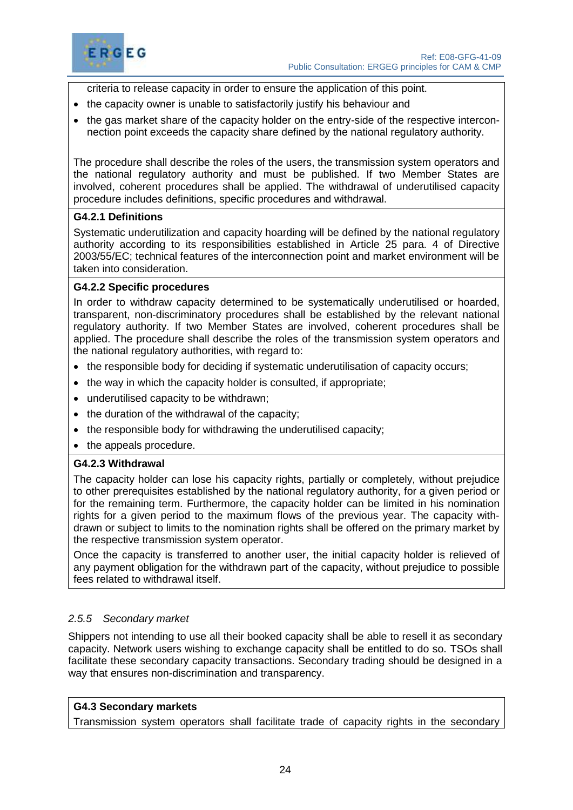

criteria to release capacity in order to ensure the application of this point.

- the capacity owner is unable to satisfactorily justify his behaviour and
- the gas market share of the capacity holder on the entry-side of the respective interconnection point exceeds the capacity share defined by the national regulatory authority.

The procedure shall describe the roles of the users, the transmission system operators and the national regulatory authority and must be published. If two Member States are involved, coherent procedures shall be applied. The withdrawal of underutilised capacity procedure includes definitions, specific procedures and withdrawal.

# **G4.2.1 Definitions**

Systematic underutilization and capacity hoarding will be defined by the national regulatory authority according to its responsibilities established in Article 25 para. 4 of Directive 2003/55/EC; technical features of the interconnection point and market environment will be taken into consideration.

# **G4.2.2 Specific procedures**

In order to withdraw capacity determined to be systematically underutilised or hoarded, transparent, non*-*discriminatory procedures shall be established by the relevant national regulatory authority. If two Member States are involved, coherent procedures shall be applied. The procedure shall describe the roles of the transmission system operators and the national regulatory authorities, with regard to:

- the responsible body for deciding if systematic underutilisation of capacity occurs;
- the way in which the capacity holder is consulted, if appropriate;
- underutilised capacity to be withdrawn;
- the duration of the withdrawal of the capacity;
- the responsible body for withdrawing the underutilised capacity;
- the appeals procedure.

#### **G4.2.3 Withdrawal**

The capacity holder can lose his capacity rights, partially or completely, without prejudice to other prerequisites established by the national regulatory authority, for a given period or for the remaining term. Furthermore, the capacity holder can be limited in his nomination rights for a given period to the maximum flows of the previous year. The capacity withdrawn or subject to limits to the nomination rights shall be offered on the primary market by the respective transmission system operator.

Once the capacity is transferred to another user, the initial capacity holder is relieved of any payment obligation for the withdrawn part of the capacity, without prejudice to possible fees related to withdrawal itself.

# <span id="page-27-0"></span>*2.5.5 Secondary market*

Shippers not intending to use all their booked capacity shall be able to resell it as secondary capacity. Network users wishing to exchange capacity shall be entitled to do so. TSOs shall facilitate these secondary capacity transactions. Secondary trading should be designed in a way that ensures non-discrimination and transparency.

# **G4.3 Secondary markets**

Transmission system operators shall facilitate trade of capacity rights in the secondary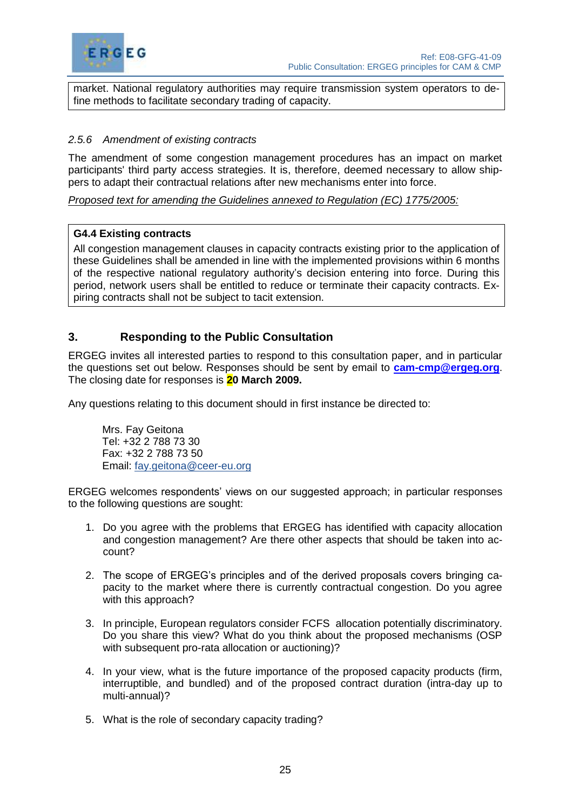

market. National regulatory authorities may require transmission system operators to define methods to facilitate secondary trading of capacity.

# <span id="page-28-0"></span>*2.5.6 Amendment of existing contracts*

The amendment of some congestion management procedures has an impact on market participants' third party access strategies. It is, therefore, deemed necessary to allow shippers to adapt their contractual relations after new mechanisms enter into force.

*Proposed text for amending the Guidelines annexed to Regulation (EC) 1775/2005:*

#### **G4.4 Existing contracts**

All congestion management clauses in capacity contracts existing prior to the application of these Guidelines shall be amended in line with the implemented provisions within 6 months of the respective national regulatory authority's decision entering into force. During this period, network users shall be entitled to reduce or terminate their capacity contracts. Expiring contracts shall not be subject to tacit extension.

# <span id="page-28-1"></span>**3. Responding to the Public Consultation**

ERGEG invites all interested parties to respond to this consultation paper, and in particular the questions set out below. Responses should be sent by email to **[cam-cmp@ergeg.org](mailto:cam-cmp@ergeg.org)**. The closing date for responses is **20 March 2009.**

Any questions relating to this document should in first instance be directed to:

Mrs. Fay Geitona Tel: +32 2 788 73 30 Fax: +32 2 788 73 50 Email: [fay.geitona@ceer-eu.org](mailto:fay.geitona@ceer-eu.org)

ERGEG welcomes respondents' views on our suggested approach; in particular responses to the following questions are sought:

- 1. Do you agree with the problems that ERGEG has identified with capacity allocation and congestion management? Are there other aspects that should be taken into account?
- 2. The scope of ERGEG's principles and of the derived proposals covers bringing capacity to the market where there is currently contractual congestion. Do you agree with this approach?
- 3. In principle, European regulators consider FCFS allocation potentially discriminatory. Do you share this view? What do you think about the proposed mechanisms (OSP with subsequent pro-rata allocation or auctioning)?
- 4. In your view, what is the future importance of the proposed capacity products (firm, interruptible, and bundled) and of the proposed contract duration (intra-day up to multi-annual)?
- 5. What is the role of secondary capacity trading?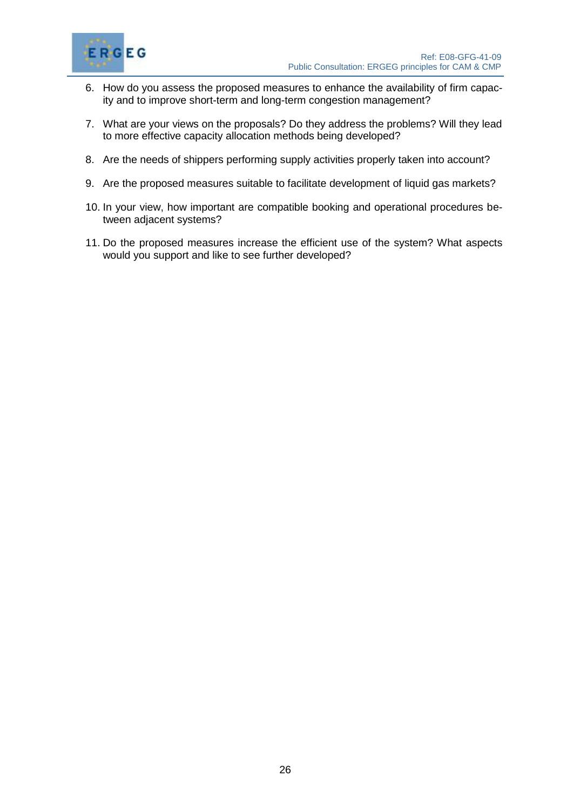

- 6. How do you assess the proposed measures to enhance the availability of firm capacity and to improve short-term and long-term congestion management?
- 7. What are your views on the proposals? Do they address the problems? Will they lead to more effective capacity allocation methods being developed?
- 8. Are the needs of shippers performing supply activities properly taken into account?
- 9. Are the proposed measures suitable to facilitate development of liquid gas markets?
- 10. In your view, how important are compatible booking and operational procedures between adjacent systems?
- 11. Do the proposed measures increase the efficient use of the system? What aspects would you support and like to see further developed?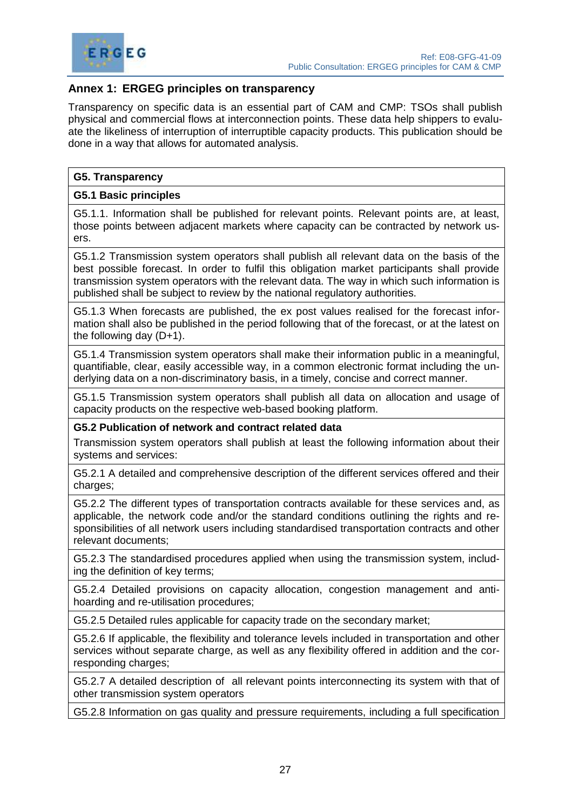

# <span id="page-30-0"></span>**Annex 1: ERGEG principles on transparency**

Transparency on specific data is an essential part of CAM and CMP: TSOs shall publish physical and commercial flows at interconnection points. These data help shippers to evaluate the likeliness of interruption of interruptible capacity products. This publication should be done in a way that allows for automated analysis.

#### **G5. Transparency**

#### **G5.1 Basic principles**

G5.1.1. Information shall be published for relevant points. Relevant points are, at least, those points between adjacent markets where capacity can be contracted by network users.

G5.1.2 Transmission system operators shall publish all relevant data on the basis of the best possible forecast. In order to fulfil this obligation market participants shall provide transmission system operators with the relevant data. The way in which such information is published shall be subject to review by the national regulatory authorities.

G5.1.3 When forecasts are published, the ex post values realised for the forecast information shall also be published in the period following that of the forecast, or at the latest on the following day (D+1).

G5.1.4 Transmission system operators shall make their information public in a meaningful, quantifiable, clear, easily accessible way, in a common electronic format including the underlying data on a non-discriminatory basis, in a timely, concise and correct manner.

G5.1.5 Transmission system operators shall publish all data on allocation and usage of capacity products on the respective web-based booking platform.

#### **G5.2 Publication of network and contract related data**

Transmission system operators shall publish at least the following information about their systems and services:

G5.2.1 A detailed and comprehensive description of the different services offered and their charges:

G5.2.2 The different types of transportation contracts available for these services and, as applicable, the network code and/or the standard conditions outlining the rights and responsibilities of all network users including standardised transportation contracts and other relevant documents;

G5.2.3 The standardised procedures applied when using the transmission system, including the definition of key terms;

G5.2.4 Detailed provisions on capacity allocation, congestion management and antihoarding and re-utilisation procedures;

G5.2.5 Detailed rules applicable for capacity trade on the secondary market;

G5.2.6 If applicable, the flexibility and tolerance levels included in transportation and other services without separate charge, as well as any flexibility offered in addition and the corresponding charges;

G5.2.7 A detailed description of all relevant points interconnecting its system with that of other transmission system operators

G5.2.8 Information on gas quality and pressure requirements, including a full specification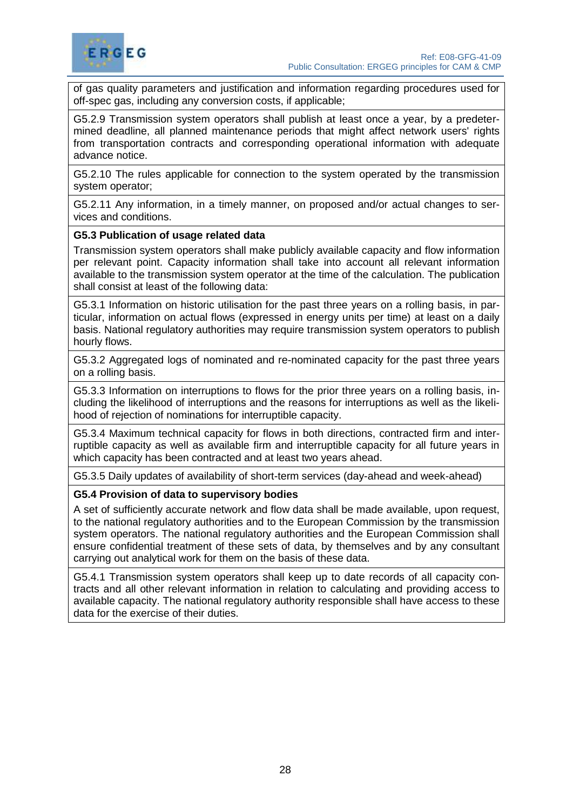

of gas quality parameters and justification and information regarding procedures used for off-spec gas, including any conversion costs, if applicable;

G5.2.9 Transmission system operators shall publish at least once a year, by a predetermined deadline, all planned maintenance periods that might affect network users' rights from transportation contracts and corresponding operational information with adequate advance notice.

G5.2.10 The rules applicable for connection to the system operated by the transmission system operator;

G5.2.11 Any information, in a timely manner, on proposed and/or actual changes to services and conditions.

#### **G5.3 Publication of usage related data**

Transmission system operators shall make publicly available capacity and flow information per relevant point. Capacity information shall take into account all relevant information available to the transmission system operator at the time of the calculation. The publication shall consist at least of the following data:

G5.3.1 Information on historic utilisation for the past three years on a rolling basis, in particular, information on actual flows (expressed in energy units per time) at least on a daily basis. National regulatory authorities may require transmission system operators to publish hourly flows.

G5.3.2 Aggregated logs of nominated and re-nominated capacity for the past three years on a rolling basis.

G5.3.3 Information on interruptions to flows for the prior three years on a rolling basis, including the likelihood of interruptions and the reasons for interruptions as well as the likelihood of rejection of nominations for interruptible capacity.

G5.3.4 Maximum technical capacity for flows in both directions, contracted firm and interruptible capacity as well as available firm and interruptible capacity for all future years in which capacity has been contracted and at least two years ahead.

G5.3.5 Daily updates of availability of short-term services (day-ahead and week-ahead)

#### **G5.4 Provision of data to supervisory bodies**

A set of sufficiently accurate network and flow data shall be made available, upon request, to the national regulatory authorities and to the European Commission by the transmission system operators. The national regulatory authorities and the European Commission shall ensure confidential treatment of these sets of data, by themselves and by any consultant carrying out analytical work for them on the basis of these data.

G5.4.1 Transmission system operators shall keep up to date records of all capacity contracts and all other relevant information in relation to calculating and providing access to available capacity. The national regulatory authority responsible shall have access to these data for the exercise of their duties.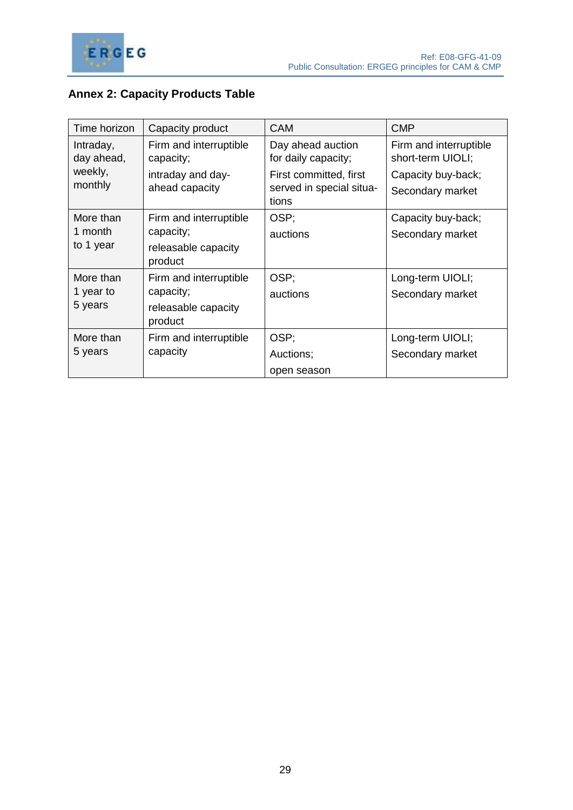

# <span id="page-32-0"></span>**Annex 2: Capacity Products Table**

| Time horizon                      | Capacity product                                                      | <b>CAM</b>                                                  | <b>CMP</b>                                  |
|-----------------------------------|-----------------------------------------------------------------------|-------------------------------------------------------------|---------------------------------------------|
| Intraday,<br>day ahead,           | Firm and interruptible<br>capacity;                                   | Day ahead auction<br>for daily capacity;                    | Firm and interruptible<br>short-term UIOLI; |
| weekly,<br>monthly                | intraday and day-<br>ahead capacity                                   | First committed, first<br>served in special situa-<br>tions | Capacity buy-back;<br>Secondary market      |
| More than<br>1 month<br>to 1 year | Firm and interruptible<br>capacity;<br>releasable capacity<br>product | OSP;<br>auctions                                            | Capacity buy-back;<br>Secondary market      |
| More than<br>1 year to<br>5 years | Firm and interruptible<br>capacity;<br>releasable capacity<br>product | OSP;<br>auctions                                            | Long-term UIOLI;<br>Secondary market        |
| More than<br>5 years              | Firm and interruptible<br>capacity                                    | OSP;<br>Auctions;<br>open season                            | Long-term UIOLI;<br>Secondary market        |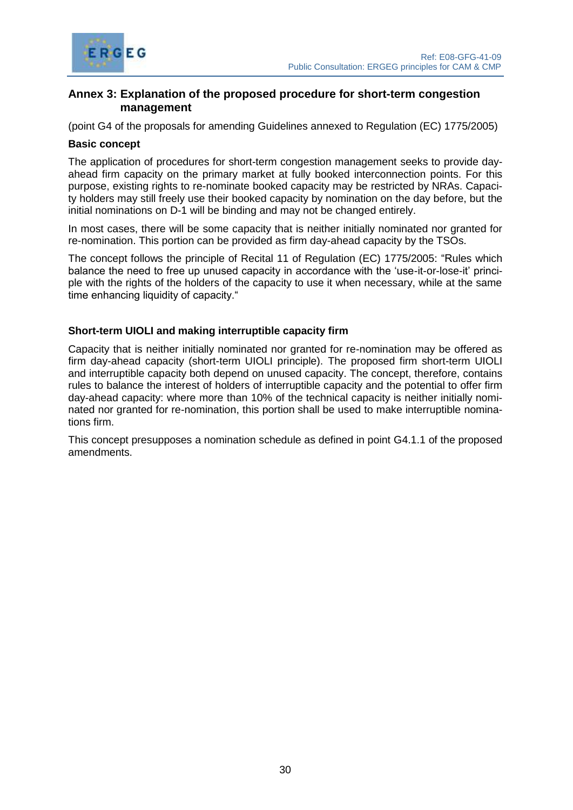

# <span id="page-33-0"></span>**Annex 3: Explanation of the proposed procedure for short-term congestion management**

(point G4 of the proposals for amending Guidelines annexed to Regulation (EC) 1775/2005)

#### **Basic concept**

The application of procedures for short-term congestion management seeks to provide dayahead firm capacity on the primary market at fully booked interconnection points. For this purpose, existing rights to re-nominate booked capacity may be restricted by NRAs. Capacity holders may still freely use their booked capacity by nomination on the day before, but the initial nominations on D-1 will be binding and may not be changed entirely.

In most cases, there will be some capacity that is neither initially nominated nor granted for re-nomination. This portion can be provided as firm day-ahead capacity by the TSOs.

The concept follows the principle of Recital 11 of Regulation (EC) 1775/2005: "Rules which balance the need to free up unused capacity in accordance with the 'use-it-or-lose-it' principle with the rights of the holders of the capacity to use it when necessary, while at the same time enhancing liquidity of capacity."

#### **Short-term UIOLI and making interruptible capacity firm**

Capacity that is neither initially nominated nor granted for re-nomination may be offered as firm day-ahead capacity (short-term UIOLI principle). The proposed firm short-term UIOLI and interruptible capacity both depend on unused capacity. The concept, therefore, contains rules to balance the interest of holders of interruptible capacity and the potential to offer firm day-ahead capacity: where more than 10% of the technical capacity is neither initially nominated nor granted for re-nomination, this portion shall be used to make interruptible nominations firm.

This concept presupposes a nomination schedule as defined in point G4.1.1 of the proposed amendments.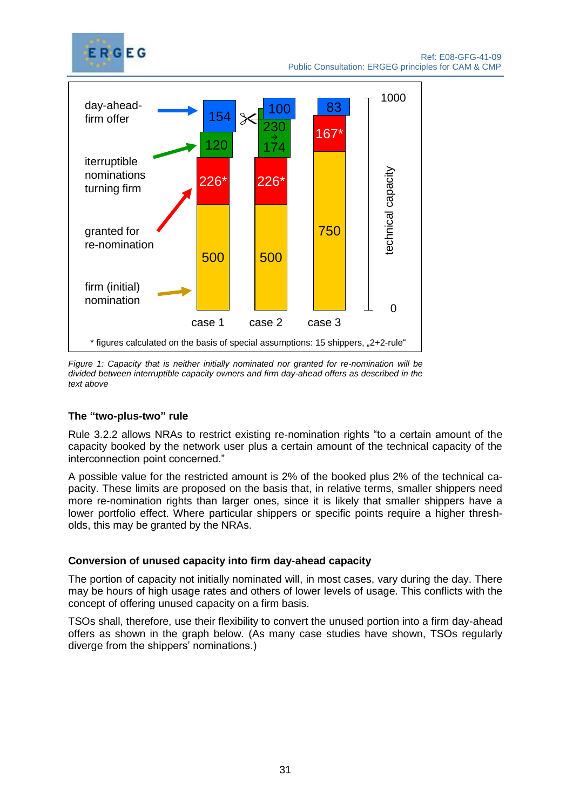



*Figure 1: Capacity that is neither initially nominated nor granted for re-nomination will be divided between interruptible capacity owners and firm day-ahead offers as described in the text above*

# **The "two-plus-two" rule**

Rule 3.2.2 allows NRAs to restrict existing re-nomination rights "to a certain amount of the capacity booked by the network user plus a certain amount of the technical capacity of the interconnection point concerned."

A possible value for the restricted amount is 2% of the booked plus 2% of the technical capacity. These limits are proposed on the basis that, in relative terms, smaller shippers need more re-nomination rights than larger ones, since it is likely that smaller shippers have a lower portfolio effect. Where particular shippers or specific points require a higher thresholds, this may be granted by the NRAs.

#### **Conversion of unused capacity into firm day-ahead capacity**

The portion of capacity not initially nominated will, in most cases, vary during the day. There may be hours of high usage rates and others of lower levels of usage. This conflicts with the concept of offering unused capacity on a firm basis.

TSOs shall, therefore, use their flexibility to convert the unused portion into a firm day-ahead offers as shown in the graph below. (As many case studies have shown, TSOs regularly diverge from the shippers' nominations.)